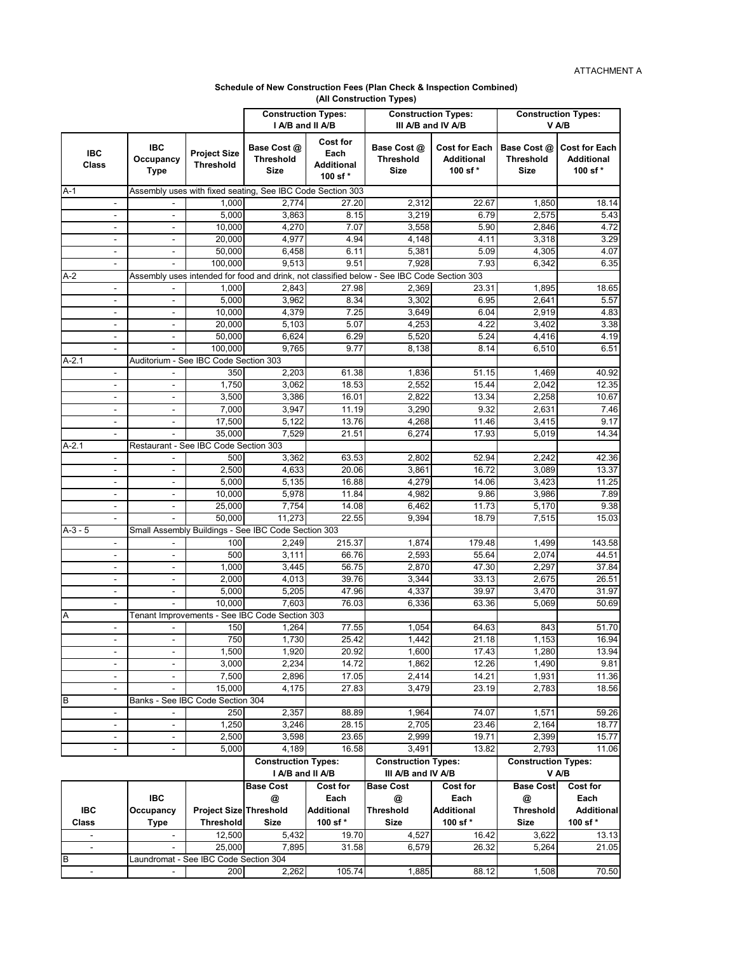## **Schedule of New Construction Fees (Plan Check & Inspection Combined) (All Construction Types)**

|                                                      |                                                      |                                         | <b>Construction Types:</b><br>I A/B and II A/B             |                                                         | <b>Construction Types:</b><br>III A/B and IV A/B                                                    |                                                       | <b>Construction Types:</b><br>V A/B     |                                                      |
|------------------------------------------------------|------------------------------------------------------|-----------------------------------------|------------------------------------------------------------|---------------------------------------------------------|-----------------------------------------------------------------------------------------------------|-------------------------------------------------------|-----------------------------------------|------------------------------------------------------|
| <b>IBC</b><br>Class                                  | <b>IBC</b><br>Occupancy<br><b>Type</b>               | <b>Project Size</b><br><b>Threshold</b> | Base Cost @<br><b>Threshold</b><br><b>Size</b>             | <b>Cost for</b><br>Each<br><b>Additional</b><br>100 sf* | Base Cost @<br><b>Threshold</b><br><b>Size</b>                                                      | <b>Cost for Each</b><br><b>Additional</b><br>100 sf * | Base Cost @<br><b>Threshold</b><br>Size | <b>Cost for Each</b><br><b>Additional</b><br>100 sf* |
| A-1                                                  |                                                      |                                         | Assembly uses with fixed seating, See IBC Code Section 303 |                                                         |                                                                                                     |                                                       |                                         |                                                      |
| $\blacksquare$                                       |                                                      | 1,000                                   | 2,774                                                      | 27.20                                                   | 2,312                                                                                               | 22.67                                                 | 1,850                                   | 18.14                                                |
| $\overline{\phantom{a}}$                             | $\overline{\phantom{a}}$                             | 5,000                                   | 3,863                                                      | 8.15                                                    | 3,219                                                                                               | 6.79                                                  | 2,575                                   | 5.43                                                 |
| $\blacksquare$                                       | $\overline{\phantom{a}}$                             | 10,000                                  | 4,270                                                      | 7.07                                                    | 3,558                                                                                               | 5.90                                                  | 2,846                                   | 4.72                                                 |
| $\overline{\phantom{a}}$                             | $\overline{\phantom{a}}$                             | 20.000                                  | 4,977                                                      | 4.94                                                    | 4,148                                                                                               | 4.11                                                  | 3,318                                   | 3.29                                                 |
| $\overline{\phantom{a}}$                             | $\overline{\phantom{a}}$                             | 50.000<br>100.000                       | 6,458<br>9.513                                             | 6.11                                                    | 5,381                                                                                               | 5.09<br>7.93                                          | 4,305                                   | 4.07                                                 |
| A-2                                                  |                                                      |                                         |                                                            | 9.51                                                    | 7,928<br>Assembly uses intended for food and drink, not classified below - See IBC Code Section 303 |                                                       | 6,342                                   | 6.35                                                 |
| $\overline{\phantom{a}}$                             |                                                      | 1,000                                   | 2,843                                                      | 27.98                                                   | 2,369                                                                                               | 23.31                                                 | 1,895                                   | 18.65                                                |
| $\overline{\phantom{a}}$                             | $\overline{\phantom{a}}$                             | $\overline{5,000}$                      | 3,962                                                      | 8.34                                                    | 3,302                                                                                               | 6.95                                                  | 2,641                                   | 5.57                                                 |
| $\overline{\phantom{a}}$                             | $\blacksquare$                                       | 10,000                                  | 4,379                                                      | 7.25                                                    | 3,649                                                                                               | 6.04                                                  | 2,919                                   | 4.83                                                 |
| $\overline{\phantom{a}}$                             | $\overline{\phantom{a}}$                             | 20,000                                  | 5,103                                                      | 5.07                                                    | 4,253                                                                                               | 4.22                                                  | 3,402                                   | 3.38                                                 |
| $\blacksquare$                                       | $\overline{\phantom{a}}$                             | 50,000                                  | 6,624                                                      | 6.29                                                    | 5,520                                                                                               | 5.24                                                  | 4,416                                   | 4.19                                                 |
|                                                      |                                                      | 100,000                                 | 9.765                                                      | 9.77                                                    | 8,138                                                                                               | 8.14                                                  | 6,510                                   | 6.51                                                 |
| $A-2.1$                                              |                                                      | Auditorium - See IBC Code Section 303   |                                                            |                                                         |                                                                                                     |                                                       |                                         |                                                      |
| $\overline{\phantom{a}}$                             |                                                      | 350                                     | 2,203                                                      | 61.38                                                   | 1,836                                                                                               | 51.15                                                 | 1,469                                   | 40.92                                                |
| $\overline{\phantom{a}}$                             |                                                      | 1,750                                   | 3,062                                                      | 18.53                                                   | 2,552                                                                                               | 15.44                                                 | 2,042                                   | 12.35                                                |
| $\blacksquare$                                       | $\blacksquare$                                       | 3,500                                   | 3,386                                                      | 16.01                                                   | 2,822                                                                                               | 13.34                                                 | 2,258                                   | 10.67                                                |
| $\blacksquare$                                       | $\overline{\phantom{a}}$                             | 7,000<br>17,500                         | 3,947<br>5,122                                             | 11.19                                                   | 3,290                                                                                               | 9.32                                                  | 2,631                                   | 7.46<br>9.17                                         |
| $\overline{\phantom{a}}$<br>$\overline{\phantom{a}}$ | $\overline{\phantom{a}}$<br>$\overline{\phantom{a}}$ | 35,000                                  | 7,529                                                      | 13.76<br>21.51                                          | 4,268<br>6.274                                                                                      | 11.46<br>17.93                                        | 3,415<br>5,019                          | 14.34                                                |
| A-2.1                                                |                                                      | Restaurant - See IBC Code Section 303   |                                                            |                                                         |                                                                                                     |                                                       |                                         |                                                      |
| ٠                                                    |                                                      | 500                                     | 3,362                                                      | 63.53                                                   | 2,802                                                                                               | 52.94                                                 | 2,242                                   | 42.36                                                |
| $\overline{\phantom{a}}$                             | $\overline{\phantom{a}}$                             | 2,500                                   | 4,633                                                      | 20.06                                                   | 3,861                                                                                               | 16.72                                                 | 3,089                                   | 13.37                                                |
| $\overline{\phantom{a}}$                             | $\overline{\phantom{a}}$                             | 5,000                                   | 5,135                                                      | 16.88                                                   | 4,279                                                                                               | 14.06                                                 | 3,423                                   | 11.25                                                |
| $\blacksquare$                                       | $\blacksquare$                                       | 10,000                                  | 5,978                                                      | 11.84                                                   | 4,982                                                                                               | 9.86                                                  | 3,986                                   | 7.89                                                 |
| $\overline{\phantom{a}}$                             | $\overline{\phantom{a}}$                             | 25,000                                  | 7,754                                                      | 14.08                                                   | 6,462                                                                                               | 11.73                                                 | 5,170                                   | 9.38                                                 |
| $\overline{\phantom{a}}$                             |                                                      | 50.000                                  | 11,273                                                     | 22.55                                                   | 9,394                                                                                               | 18.79                                                 | 7,515                                   | 15.03                                                |
| A-3 - 5                                              |                                                      |                                         | Small Assembly Buildings - See IBC Code Section 303        |                                                         |                                                                                                     |                                                       |                                         |                                                      |
|                                                      |                                                      | 100                                     | 2,249                                                      | 215.37                                                  | 1,874                                                                                               | 179.48                                                | 1,499                                   | 143.58                                               |
| $\overline{\phantom{a}}$                             | $\overline{\phantom{a}}$                             | 500                                     | 3,111                                                      | 66.76                                                   | 2,593                                                                                               | 55.64                                                 | 2,074                                   | 44.51                                                |
| $\overline{\phantom{a}}$                             | $\blacksquare$                                       | 1,000                                   | 3,445                                                      | 56.75                                                   | 2,870                                                                                               | 47.30                                                 | 2,297                                   | 37.84                                                |
| $\overline{\phantom{a}}$                             | $\blacksquare$<br>$\blacksquare$                     | 2,000<br>5,000                          | 4,013<br>5,205                                             | 39.76<br>47.96                                          | 3,344<br>4,337                                                                                      | 33.13<br>39.97                                        | 2,675<br>3,470                          | 26.51<br>31.97                                       |
| $\overline{\phantom{a}}$                             |                                                      | 10,000                                  | 7,603                                                      | 76.03                                                   | 6,336                                                                                               | 63.36                                                 | 5,069                                   | 50.69                                                |
| Α                                                    |                                                      |                                         | Tenant Improvements - See IBC Code Section 303             |                                                         |                                                                                                     |                                                       |                                         |                                                      |
| $\overline{\phantom{a}}$                             |                                                      | 150                                     | 1,264                                                      | 77.55                                                   | 1,054                                                                                               | 64.63                                                 | 843                                     | 51.70                                                |
| $\blacksquare$                                       | $\blacksquare$                                       | 750                                     | 1,730                                                      | 25.42                                                   | 1,442                                                                                               | 21.18                                                 | 1,153                                   | 16.94                                                |
| $\overline{\phantom{a}}$                             | $\overline{\phantom{a}}$                             | 1,500                                   | 1,920                                                      | 20.92                                                   | 1,600                                                                                               | 17.43                                                 | 1,280                                   | 13.94                                                |
| $\overline{\phantom{a}}$                             | $\blacksquare$                                       | 3,000                                   | 2.234                                                      | 14.72                                                   | 1,862                                                                                               | 12.26                                                 | 1,490                                   | 9.81                                                 |
| $\overline{\phantom{a}}$                             | $\overline{\phantom{a}}$                             | 7,500                                   | 2,896                                                      | 17.05                                                   | 2,414                                                                                               | 14.21                                                 | 1,931                                   | 11.36                                                |
|                                                      |                                                      | 15,000                                  | 4,175                                                      | 27.83                                                   | 3,479                                                                                               | 23.19                                                 | 2,783                                   | 18.56                                                |
| B                                                    |                                                      | Banks - See IBC Code Section 304        |                                                            |                                                         |                                                                                                     |                                                       |                                         |                                                      |
| $\overline{\phantom{a}}$                             | $\blacksquare$                                       | 250                                     | 2,357                                                      | 88.89                                                   | 1,964<br>2,705                                                                                      | 74.07                                                 | 1,571                                   | 59.26                                                |
| $\overline{\phantom{a}}$<br>$\overline{\phantom{a}}$ | $\overline{\phantom{a}}$<br>$\overline{\phantom{a}}$ | 1,250<br>2,500                          | 3,246<br>3,598                                             | 28.15<br>23.65                                          | 2,999                                                                                               | 23.46<br>19.71                                        | 2,164<br>2,399                          | 18.77<br>15.77                                       |
| $\overline{\phantom{a}}$                             | $\overline{\phantom{a}}$                             | 5,000                                   | 4,189                                                      | 16.58                                                   | 3,491                                                                                               | 13.82                                                 | 2,793                                   | 11.06                                                |
|                                                      |                                                      |                                         | <b>Construction Types:</b>                                 |                                                         | <b>Construction Types:</b>                                                                          |                                                       | <b>Construction Types:</b>              |                                                      |
|                                                      |                                                      |                                         | I A/B and II A/B                                           |                                                         | III A/B and IV A/B                                                                                  |                                                       |                                         | V A/B                                                |
|                                                      |                                                      |                                         | <b>Base Cost</b>                                           | Cost for                                                | Base Cost                                                                                           | Cost for                                              | <b>Base Cost</b>                        | Cost for                                             |
|                                                      | IBC                                                  |                                         | @                                                          | Each                                                    | @                                                                                                   | Each                                                  | @                                       | Each                                                 |
| IBC                                                  | Occupancy                                            | Project Size Threshold                  |                                                            | Additional                                              | <b>Threshold</b>                                                                                    | <b>Additional</b>                                     | <b>Threshold</b>                        | <b>Additional</b>                                    |
| Class                                                | <b>Type</b>                                          | <b>Threshold</b>                        | <b>Size</b>                                                | 100 sf*                                                 | <b>Size</b>                                                                                         | 100 sf*                                               | <b>Size</b>                             | 100 sf*                                              |
| $\blacksquare$                                       | $\blacksquare$                                       | 12,500                                  | 5,432                                                      | 19.70                                                   | 4,527                                                                                               | 16.42                                                 | 3,622                                   | 13.13                                                |
| $\blacksquare$                                       |                                                      | 25,000                                  | 7,895                                                      | 31.58                                                   | 6,579                                                                                               | 26.32                                                 | 5,264                                   | 21.05                                                |
| В                                                    |                                                      | Laundromat - See IBC Code Section 304   |                                                            |                                                         |                                                                                                     |                                                       |                                         |                                                      |
| $\blacksquare$                                       |                                                      | 200                                     | 2,262                                                      | 105.74                                                  | 1,885                                                                                               | 88.12                                                 | 1,508                                   | 70.50                                                |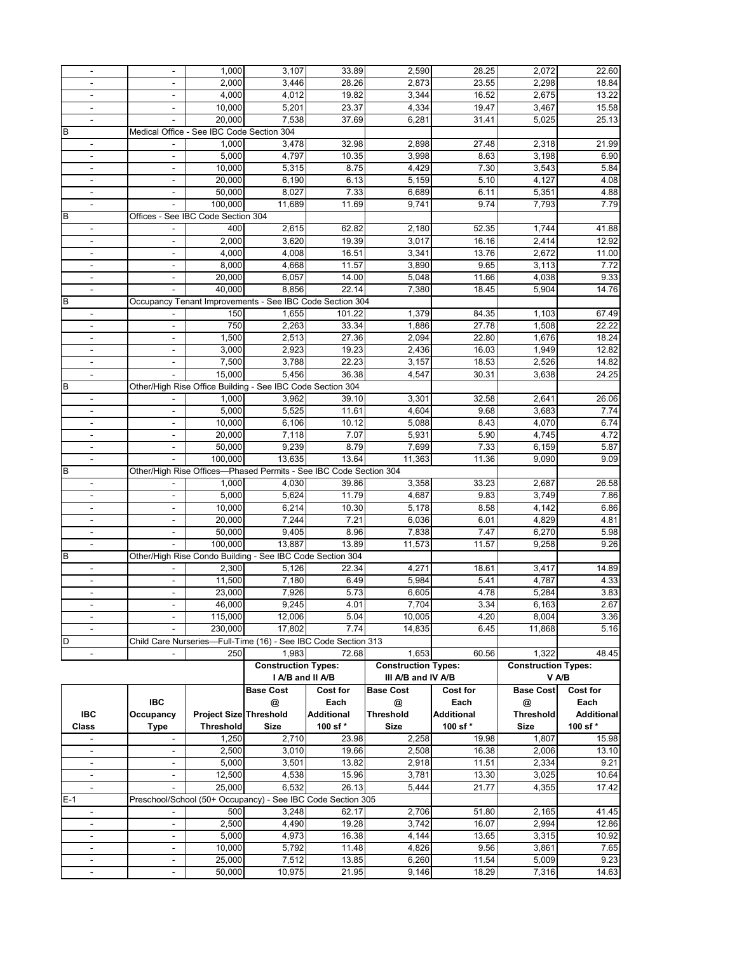| $\overline{\phantom{a}}$ |                          | 1,000                                     | 3,107                                                             | 33.89               | 2,590                      | 28.25      | 2,072                      | 22.60             |
|--------------------------|--------------------------|-------------------------------------------|-------------------------------------------------------------------|---------------------|----------------------------|------------|----------------------------|-------------------|
| $\blacksquare$           |                          | 2,000                                     | 3,446                                                             | 28.26               | 2,873                      | 23.55      | 2,298                      | 18.84             |
| $\overline{\phantom{a}}$ | $\overline{\phantom{a}}$ | 4,000                                     | 4,012                                                             | 19.82               | 3,344                      | 16.52      | 2,675                      | 13.22             |
|                          |                          | 10,000                                    | 5,201                                                             | 23.37               | 4,334                      | 19.47      | 3,467                      | 15.58             |
| $\blacksquare$           |                          | 20,000                                    | 7,538                                                             | 37.69               | 6,281                      | 31.41      | 5,025                      | 25.13             |
|                          |                          |                                           |                                                                   |                     |                            |            |                            |                   |
| B                        |                          | Medical Office - See IBC Code Section 304 |                                                                   |                     |                            |            |                            |                   |
| $\blacksquare$           |                          | 1,000                                     | 3,478                                                             | 32.98               | 2,898                      | 27.48      | 2,318                      | 21.99             |
|                          |                          | 5,000                                     | 4,797                                                             | 10.35               | 3,998                      | 8.63       | 3,198                      | 6.90              |
| $\blacksquare$           | $\blacksquare$           | 10,000                                    | 5,315                                                             | 8.75                | 4,429                      | 7.30       | 3,543                      | 5.84              |
| $\blacksquare$           | $\overline{\phantom{a}}$ | 20,000                                    | 6,190                                                             | 6.13                | 5,159                      | 5.10       | 4,127                      | 4.08              |
|                          |                          | 50,000                                    | 8,027                                                             | 7.33                | 6,689                      | 6.11       | 5,351                      | 4.88              |
| $\blacksquare$           | $\overline{\phantom{a}}$ | 100,000                                   | 11,689                                                            | 11.69               | 9,741                      | 9.74       | 7,793                      | 7.79              |
| B                        |                          | Offices - See IBC Code Section 304        |                                                                   |                     |                            |            |                            |                   |
| $\overline{\phantom{a}}$ |                          | 400                                       | 2,615                                                             | 62.82               | 2,180                      | 52.35      | 1,744                      | 41.88             |
| $\blacksquare$           |                          | 2.000                                     | 3,620                                                             | 19.39               | 3,017                      | 16.16      | 2,414                      | 12.92             |
|                          | $\blacksquare$           |                                           |                                                                   |                     |                            |            |                            |                   |
| $\blacksquare$           | $\overline{\phantom{a}}$ | 4,000                                     | 4,008                                                             | 16.51               | 3,341                      | 13.76      | 2,672                      | 11.00             |
| $\blacksquare$           | $\overline{\phantom{a}}$ | 8,000                                     | 4,668                                                             | 11.57               | 3,890                      | 9.65       | 3,113                      | 7.72              |
| $\overline{\phantom{a}}$ | $\overline{\phantom{a}}$ | 20,000                                    | 6,057                                                             | 14.00               | 5,048                      | 11.66      | 4,038                      | 9.33              |
| $\overline{\phantom{a}}$ |                          | 40,000                                    | 8,856                                                             | $\overline{2}$ 2.14 | 7,380                      | 18.45      | 5,904                      | 14.76             |
| В                        |                          |                                           | Occupancy Tenant Improvements - See IBC Code Section 304          |                     |                            |            |                            |                   |
|                          |                          | 150                                       | 1,655                                                             | 101.22              | 1,379                      | 84.35      | 1,103                      | 67.49             |
| $\overline{\phantom{a}}$ | $\overline{\phantom{a}}$ | 750                                       | 2,263                                                             | 33.34               | 1,886                      | 27.78      | 1,508                      | 22.22             |
|                          | $\blacksquare$           | 1,500                                     | 2,513                                                             | 27.36               | 2,094                      | 22.80      | 1,676                      |                   |
| $\overline{\phantom{a}}$ |                          |                                           |                                                                   |                     |                            |            |                            | 18.24             |
| $\blacksquare$           | $\blacksquare$           | 3,000                                     | 2,923                                                             | 19.23               | 2,436                      | 16.03      | 1,949                      | 12.82             |
| $\overline{\phantom{a}}$ | $\overline{\phantom{a}}$ | 7,500                                     | 3,788                                                             | 22.23               | 3,157                      | 18.53      | 2,526                      | 14.82             |
| $\overline{\phantom{a}}$ |                          | 15,000                                    | 5,456                                                             | 36.38               | 4,547                      | 30.31      | 3,638                      | 24.25             |
| B                        |                          |                                           | Other/High Rise Office Building - See IBC Code Section 304        |                     |                            |            |                            |                   |
| $\blacksquare$           |                          | 1,000                                     | 3,962                                                             | 39.10               | 3,301                      | 32.58      | 2,641                      | 26.06             |
| $\blacksquare$           |                          | 5,000                                     | 5,525                                                             | 11.61               | 4,604                      | 9.68       | 3,683                      | 7.74              |
| $\blacksquare$           |                          | 10,000                                    | 6,106                                                             | 10.12               | 5,088                      | 8.43       | 4,070                      | 6.74              |
| $\overline{\phantom{a}}$ | $\overline{\phantom{a}}$ | 20,000                                    | 7,118                                                             | 7.07                | 5,931                      | 5.90       | 4,745                      | 4.72              |
|                          |                          | 50,000                                    | 9,239                                                             | 8.79                | 7,699                      |            |                            |                   |
| $\overline{\phantom{a}}$ | $\overline{\phantom{a}}$ |                                           |                                                                   |                     |                            | 7.33       | 6,159                      | 5.87              |
|                          |                          | 100,000                                   | 13,635                                                            | 13.64               | 11,363                     | 11.36      | 9,090                      | 9.09              |
|                          |                          |                                           |                                                                   |                     |                            |            |                            |                   |
| B                        |                          |                                           | Other/High Rise Offices-Phased Permits - See IBC Code Section 304 |                     |                            |            |                            |                   |
| $\blacksquare$           |                          | 1,000                                     | 4,030                                                             | 39.86               | 3,358                      | 33.23      | 2,687                      | 26.58             |
|                          |                          | 5,000                                     | 5,624                                                             | 11.79               | 4,687                      | 9.83       | 3,749                      | 7.86              |
| $\blacksquare$           | $\frac{1}{2}$            |                                           | 6,214                                                             | 10.30               | 5,178                      | 8.58       | 4,142                      | 6.86              |
|                          | $\overline{\phantom{a}}$ | 10,000                                    |                                                                   |                     |                            |            |                            |                   |
| $\overline{\phantom{a}}$ |                          | 20,000                                    | 7,244                                                             | 7.21                | 6,036                      | 6.01       | 4,829                      | 4.81              |
| $\overline{\phantom{a}}$ |                          | 50,000                                    | 9,405                                                             | 8.96                | 7,838                      | 7.47       | 6,270                      | 5.98              |
| $\overline{\phantom{a}}$ |                          | 100,000                                   | 13,887                                                            | 13.89               | 11,573                     | 11.57      | 9,258                      | 9.26              |
| В                        |                          |                                           | Other/High Rise Condo Building - See IBC Code Section 304         |                     |                            |            |                            |                   |
| $\overline{\phantom{a}}$ |                          | 2,300                                     | 5,126                                                             | 22.34               | 4,271                      | 18.61      | 3,417                      | 14.89             |
| $\overline{\phantom{a}}$ | $\overline{\phantom{a}}$ | 11,500                                    | 7,180                                                             | 6.49                | 5,984                      | 5.41       | 4,787                      | 4.33              |
|                          |                          | 23,000                                    | 7,926                                                             | 5.73                | 6,605                      | 4.78       | 5,284                      | 3.83              |
| $\overline{\phantom{a}}$ |                          | 46,000                                    | 9,245                                                             | 4.01                | 7,704                      | 3.34       | 6,163                      | 2.67              |
|                          |                          | 115,000                                   | 12,006                                                            | 5.04                | 10,005                     | 4.20       | 8,004                      | 3.36              |
| $\overline{\phantom{a}}$ |                          | 230,000                                   | 17,802                                                            | 7.74                | 14,835                     | 6.45       | 11,868                     | 5.16              |
| D                        |                          |                                           |                                                                   |                     |                            |            |                            |                   |
| $\blacksquare$           |                          |                                           | Child Care Nurseries-Full-Time (16) - See IBC Code Section 313    |                     |                            |            |                            |                   |
|                          |                          | 250                                       | 1,983                                                             | 72.68               | 1,653                      | 60.56      | 1,322                      | 48.45             |
|                          |                          |                                           | <b>Construction Types:</b>                                        |                     | <b>Construction Types:</b> |            | <b>Construction Types:</b> |                   |
|                          |                          |                                           | I A/B and II A/B                                                  |                     | III A/B and IV A/B         |            |                            | V A/B             |
|                          |                          |                                           | <b>Base Cost</b>                                                  | Cost for            | <b>Base Cost</b>           | Cost for   | <b>Base Cost</b>           | Cost for          |
|                          | IBC                      |                                           | @                                                                 | Each                | @                          | Each       | @                          | Each              |
| IBC                      | Occupancy                | <b>Project Size Threshold</b>             |                                                                   | Additional          | Threshold                  | Additional | <b>Threshold</b>           | <b>Additional</b> |
| Class                    | <b>Type</b>              | <b>Threshold</b>                          | <b>Size</b>                                                       | 100 sf*             | <b>Size</b>                | 100 sf*    | <b>Size</b>                | 100 sf*           |
| $\blacksquare$           | $\overline{\phantom{a}}$ | 1.250                                     | 2,710                                                             | 23.98               | 2,258                      | 19.98      | 1,807                      | 15.98             |
| $\overline{\phantom{a}}$ | $\blacksquare$           | 2,500                                     | 3,010                                                             | 19.66               | 2,508                      | 16.38      | 2,006                      | 13.10             |
| $\blacksquare$           | $\overline{\phantom{a}}$ | 5,000                                     | 3,501                                                             | 13.82               | 2,918                      |            | 2,334                      | 9.21              |
| $\overline{\phantom{a}}$ | $\overline{\phantom{a}}$ |                                           |                                                                   |                     |                            | 11.51      |                            |                   |
|                          |                          | 12,500                                    | 4,538                                                             | 15.96               | 3,781                      | 13.30      | 3,025                      | 10.64             |
| $\blacksquare$           |                          | 25,000                                    | 6,532                                                             | 26.13               | 5,444                      | 21.77      | 4,355                      | 17.42             |
| $E-1$                    |                          |                                           | Preschool/School (50+ Occupancy) - See IBC Code Section 305       |                     |                            |            |                            |                   |
| $\overline{\phantom{a}}$ |                          | 500                                       | 3,248                                                             | 62.17               | 2,706                      | 51.80      | 2,165                      | 41.45             |
| $\blacksquare$           | $\blacksquare$           | 2,500                                     | 4,490                                                             | 19.28               | 3,742                      | 16.07      | 2,994                      | 12.86             |
| $\blacksquare$           | $\overline{\phantom{a}}$ | 5,000                                     | 4,973                                                             | 16.38               | 4,144                      | 13.65      | 3,315                      | 10.92             |
| $\overline{\phantom{a}}$ | $\overline{\phantom{a}}$ | 10,000                                    | 5,792                                                             | 11.48               | 4,826                      | 9.56       | 3,861                      | 7.65              |
| $\blacksquare$           | $\blacksquare$           | 25,000                                    | $\overline{7}, 512$                                               | 13.85               | 6,260                      | 11.54      | 5,009                      | 9.23              |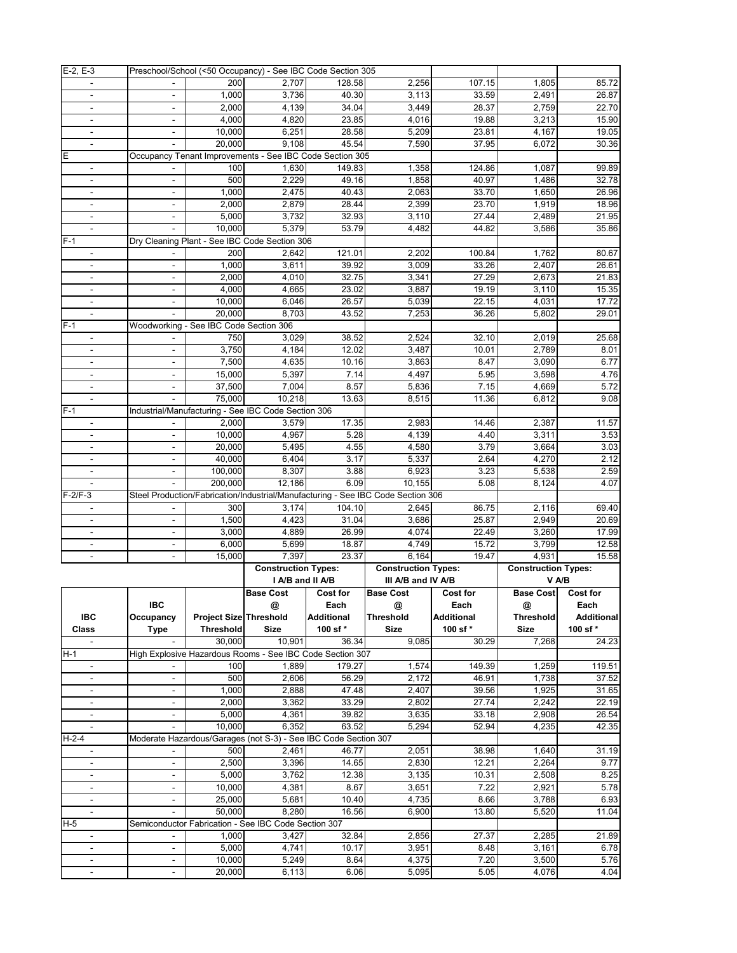| $E-2, E-3$                                 |                          |                                        | Preschool/School (<50 Occupancy) - See IBC Code Section 305     |              |                                                                                  |                   |                            |              |
|--------------------------------------------|--------------------------|----------------------------------------|-----------------------------------------------------------------|--------------|----------------------------------------------------------------------------------|-------------------|----------------------------|--------------|
| $\blacksquare$                             | $\blacksquare$           | 200                                    | 2,707                                                           | 128.58       | 2,256                                                                            | 107.15            | 1,805                      | 85.72        |
| $\overline{\phantom{a}}$                   | $\overline{\phantom{a}}$ | 1,000                                  | 3,736                                                           | 40.30        | 3,113                                                                            | 33.59             | 2,491                      | 26.87        |
| $\blacksquare$                             | $\overline{\phantom{a}}$ | 2,000                                  | 4,139                                                           | 34.04        | 3,449                                                                            | 28.37             | 2,759                      | 22.70        |
| $\blacksquare$                             | $\overline{\phantom{a}}$ | 4,000                                  | 4,820                                                           | 23.85        | 4,016                                                                            | 19.88             | 3,213                      | 15.90        |
| $\overline{\phantom{a}}$                   | $\overline{\phantom{a}}$ | 10,000                                 | 6,251                                                           | 28.58        | 5,209                                                                            | 23.81             | 4,167                      | 19.05        |
| $\blacksquare$                             |                          | 20,000                                 | 9,108                                                           | 45.54        | 7,590                                                                            | 37.95             | 6,072                      | 30.36        |
| Е                                          |                          |                                        | Occupancy Tenant Improvements - See IBC Code Section 305        |              |                                                                                  |                   |                            |              |
|                                            |                          |                                        |                                                                 |              |                                                                                  |                   |                            |              |
| $\overline{\phantom{a}}$                   |                          | 100                                    | 1,630                                                           | 149.83       | 1,358                                                                            | 124.86            | 1,087                      | 99.89        |
| $\blacksquare$                             | $\overline{\phantom{a}}$ | 500                                    | 2,229                                                           | 49.16        | 1,858                                                                            | 40.97             | 1,486                      | 32.78        |
| $\blacksquare$                             |                          | 1,000                                  | 2,475                                                           | 40.43        | 2,063                                                                            | 33.70             | 1,650                      | 26.96        |
| $\overline{\phantom{a}}$                   | $\overline{\phantom{a}}$ | 2,000                                  | 2,879                                                           | 28.44        | 2,399                                                                            | 23.70             | 1,919                      | 18.96        |
| $\blacksquare$                             | $\blacksquare$           | 5,000                                  | 3,732                                                           | 32.93        | 3,110                                                                            | 27.44             | 2,489                      | 21.95        |
| $\blacksquare$                             |                          | 10,000                                 | 5,379                                                           | 53.79        | 4,482                                                                            | 44.82             | 3,586                      | 35.86        |
| $F-1$                                      |                          |                                        | Dry Cleaning Plant - See IBC Code Section 306                   |              |                                                                                  |                   |                            |              |
| $\blacksquare$                             |                          | 200                                    | 2,642                                                           | 121.01       | 2,202                                                                            | 100.84            | 1,762                      | 80.67        |
| $\blacksquare$                             |                          | 1,000                                  | 3,611                                                           | 39.92        | 3,009                                                                            | 33.26             | 2,407                      | 26.61        |
| $\overline{\phantom{a}}$                   | $\blacksquare$           | 2,000                                  | 4,010                                                           | 32.75        | 3,341                                                                            | 27.29             | 2,673                      | 21.83        |
| $\overline{\phantom{a}}$                   | $\overline{\phantom{a}}$ | 4,000                                  | 4,665                                                           | 23.02        | 3,887                                                                            | 19.19             | 3,110                      | 15.35        |
| $\overline{\phantom{a}}$                   |                          | 10,000                                 | 6.046                                                           | 26.57        | 5,039                                                                            | 22.15             | 4,031                      | 17.72        |
| $\blacksquare$                             | $\blacksquare$           | 20.000                                 | 8,703                                                           | 43.52        | 7,253                                                                            | 36.26             | 5,802                      | 29.01        |
| $F-1$                                      |                          | Woodworking - See IBC Code Section 306 |                                                                 |              |                                                                                  |                   |                            |              |
|                                            |                          |                                        |                                                                 |              |                                                                                  |                   |                            |              |
| $\overline{\phantom{a}}$                   |                          | 750                                    | 3,029                                                           | 38.52        | 2,524                                                                            | 32.10             | 2,019                      | 25.68        |
| $\overline{\phantom{a}}$                   | $\overline{\phantom{a}}$ | 3,750                                  | 4,184                                                           | 12.02        | 3,487                                                                            | 10.01             | 2,789                      | 8.01         |
| $\overline{\phantom{a}}$                   | $\overline{\phantom{a}}$ | 7,500                                  | 4,635                                                           | 10.16        | 3,863                                                                            | 8.47              | 3,090                      | 6.77         |
| $\overline{\phantom{a}}$                   |                          | 15,000                                 | 5,397                                                           | 7.14         | 4,497                                                                            | 5.95              | 3,598                      | 4.76         |
| $\overline{\phantom{a}}$                   | $\blacksquare$           | 37,500                                 | 7,004                                                           | 8.57         | 5,836                                                                            | 7.15              | 4,669                      | 5.72         |
| $\blacksquare$                             | $\blacksquare$           | 75.000                                 | 10,218                                                          | 13.63        | 8,515                                                                            | 11.36             | 6,812                      | 9.08         |
| $F-1$                                      |                          |                                        | Industrial/Manufacturing - See IBC Code Section 306             |              |                                                                                  |                   |                            |              |
| $\overline{\phantom{a}}$                   |                          | 2,000                                  | 3,579                                                           | 17.35        | 2,983                                                                            | 14.46             | 2,387                      | 11.57        |
| $\blacksquare$                             |                          | 10,000                                 | 4,967                                                           | 5.28         | 4,139                                                                            | 4.40              | 3,311                      | 3.53         |
| $\overline{\phantom{a}}$                   | $\overline{\phantom{a}}$ | 20,000                                 | 5,495                                                           | 4.55         | 4,580                                                                            | 3.79              | 3,664                      | 3.03         |
| $\blacksquare$                             | $\overline{\phantom{a}}$ | 40,000                                 | 6,404                                                           | 3.17         | 5,337                                                                            | 2.64              | 4,270                      | 2.12         |
| $\overline{\phantom{a}}$                   | $\overline{\phantom{a}}$ | 100,000                                | 8,307                                                           | 3.88         | 6,923                                                                            | 3.23              | 5,538                      | 2.59         |
| $\blacksquare$                             |                          | 200,000                                | 12,186                                                          | 6.09         | 10,155                                                                           | 5.08              | 8,124                      | 4.07         |
| $F-2/F-3$                                  |                          |                                        |                                                                 |              |                                                                                  |                   |                            |              |
|                                            |                          |                                        |                                                                 |              |                                                                                  |                   |                            |              |
|                                            |                          |                                        |                                                                 |              | Steel Production/Fabrication/Industrial/Manufacturing - See IBC Code Section 306 |                   |                            |              |
| $\overline{\phantom{a}}$                   |                          | 300                                    | 3,174                                                           | 104.10       | 2,645                                                                            | 86.75             | 2,116                      | 69.40        |
|                                            | $\overline{\phantom{a}}$ | 1,500                                  | 4,423                                                           | 31.04        | 3,686                                                                            | 25.87             | 2,949                      | 20.69        |
| $\overline{\phantom{a}}$                   | $\blacksquare$           | 3,000                                  | 4,889                                                           | 26.99        | 4,074                                                                            | 22.49             | 3,260                      | 17.99        |
| $\blacksquare$                             | $\blacksquare$           | 6,000                                  | 5,699                                                           | 18.87        | 4,749                                                                            | 15.72             | 3,799                      | 12.58        |
| $\overline{\phantom{a}}$                   | $\overline{\phantom{a}}$ | 15,000                                 | 7,397                                                           | 23.37        | 6,164                                                                            | 19.47             | 4,931                      | 15.58        |
|                                            |                          |                                        | <b>Construction Types:</b>                                      |              | <b>Construction Types:</b>                                                       |                   | <b>Construction Types:</b> |              |
|                                            |                          |                                        | I A/B and II A/B                                                |              | III A/B and IV A/B                                                               |                   |                            | V A/B        |
|                                            |                          |                                        | Base Cost                                                       | Cost for     | <b>Base Cost</b>                                                                 | <b>Cost for</b>   | <b>Base Cost</b> Cost for  |              |
|                                            |                          |                                        |                                                                 |              |                                                                                  |                   |                            |              |
|                                            | <b>IBC</b>               |                                        | $\circledcirc$                                                  | Each         | $\circledR$                                                                      | Each              | @                          | Each         |
| IBC                                        | Occupancy                | <b>Project Size Threshold</b>          |                                                                 | Additional   | <b>Threshold</b>                                                                 | <b>Additional</b> | <b>Threshold</b>           | Additional   |
| Class                                      | <b>Type</b>              | <b>Threshold</b>                       | <b>Size</b>                                                     | 100 sf*      | <b>Size</b>                                                                      | 100 sf*           | <b>Size</b>                | 100 sf*      |
|                                            |                          | 30,000                                 | 10,901                                                          | 36.34        | 9,085                                                                            | 30.29             | 7,268                      | 24.23        |
| H-1                                        |                          |                                        | High Explosive Hazardous Rooms - See IBC Code Section 307       |              |                                                                                  |                   |                            |              |
| $\overline{\phantom{a}}$                   |                          | 100                                    | 1,889                                                           | 179.27       | 1,574                                                                            | 149.39            | 1,259                      | 119.51       |
| $\blacksquare$                             |                          | 500                                    | 2,606                                                           | 56.29        | 2,172                                                                            | 46.91             | 1,738                      | 37.52        |
| $\overline{\phantom{a}}$                   | $\overline{\phantom{a}}$ | 1,000                                  | 2,888                                                           | 47.48        | 2,407                                                                            | 39.56             | 1,925                      | 31.65        |
| $\blacksquare$                             | $\overline{\phantom{a}}$ | 2,000                                  | 3,362                                                           | 33.29        | 2,802                                                                            | 27.74             | 2,242                      | 22.19        |
| $\overline{\phantom{a}}$                   | $\overline{\phantom{a}}$ | 5,000                                  | 4,361                                                           | 39.82        | 3,635                                                                            | 33.18             | 2,908                      | 26.54        |
| $\overline{\phantom{a}}$                   |                          | 10,000                                 | 6,352                                                           | 63.52        | 5,294                                                                            | 52.94             | 4,235                      | 42.35        |
| $H-2-4$                                    |                          |                                        | Moderate Hazardous/Garages (not S-3) - See IBC Code Section 307 |              |                                                                                  |                   |                            |              |
| $\blacksquare$                             | $\overline{\phantom{a}}$ | 500                                    | 2,461                                                           | 46.77        | 2,051                                                                            | 38.98             | 1,640                      | 31.19        |
| $\blacksquare$                             | $\blacksquare$           | 2,500                                  | 3,396                                                           | 14.65        | 2,830                                                                            | 12.21             | 2,264                      | 9.77         |
| $\blacksquare$                             | $\blacksquare$           | 5,000                                  | 3,762                                                           | 12.38        | 3,135                                                                            | 10.31             | 2,508                      | 8.25         |
| $\overline{\phantom{a}}$                   |                          | 10,000                                 | 4,381                                                           | 8.67         | 3,651                                                                            | 7.22              | 2,921                      | 5.78         |
|                                            |                          |                                        |                                                                 |              |                                                                                  |                   |                            |              |
|                                            |                          | 25,000                                 | 5,681                                                           | 10.40        | 4,735                                                                            | 8.66              | 3,788                      | 6.93         |
| $\blacksquare$                             | $\blacksquare$           | 50,000                                 | 8,280                                                           | 16.56        | 6,900                                                                            | 13.80             | 5,520                      | 11.04        |
| H-5                                        |                          |                                        | Semiconductor Fabrication - See IBC Code Section 307            |              |                                                                                  |                   |                            |              |
|                                            |                          | 1,000                                  | 3,427                                                           | 32.84        | 2,856                                                                            | 27.37             | 2,285                      | 21.89        |
| $\blacksquare$                             | $\blacksquare$           | 5,000                                  | 4,741                                                           | 10.17        | 3,951                                                                            | 8.48              | 3,161                      | 6.78         |
| $\overline{\phantom{a}}$<br>$\blacksquare$ | $\overline{\phantom{a}}$ | 10,000<br>20,000                       | 5,249<br>6,113                                                  | 8.64<br>6.06 | 4,375<br>5,095                                                                   | 7.20<br>5.05      | 3,500<br>4,076             | 5.76<br>4.04 |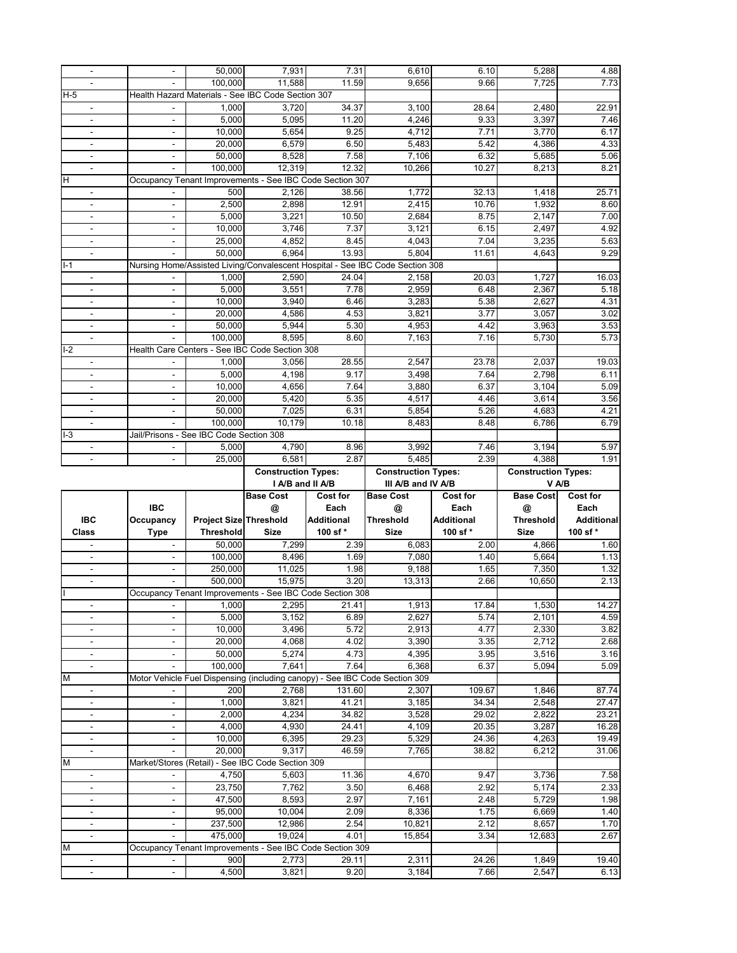| $\sim$                                     |                          | 50,000                                  | 7,931                                                    | 7.31              | 6,610                                                                         | 6.10            | 5,288                      | 4.88              |
|--------------------------------------------|--------------------------|-----------------------------------------|----------------------------------------------------------|-------------------|-------------------------------------------------------------------------------|-----------------|----------------------------|-------------------|
|                                            |                          | 100.000                                 | 11,588                                                   | 11.59             | 9,656                                                                         | 9.66            | 7,725                      | 7.73              |
| $H-5$                                      |                          |                                         | Health Hazard Materials - See IBC Code Section 307       |                   |                                                                               |                 |                            |                   |
|                                            |                          |                                         |                                                          |                   |                                                                               |                 |                            |                   |
| $\blacksquare$                             |                          | 1,000                                   | 3,720                                                    | 34.37             | 3,100                                                                         | 28.64           | 2,480                      | 22.91             |
| $\blacksquare$                             | $\blacksquare$           | 5,000                                   | 5,095                                                    | 11.20             | 4,246                                                                         | 9.33            | 3,397                      | 7.46              |
| $\blacksquare$                             | $\blacksquare$           | 10,000                                  | 5,654                                                    | 9.25              | 4,712                                                                         | 7.71            | 3,770                      | 6.17              |
|                                            |                          | 20,000                                  | 6,579                                                    | 6.50              | 5,483                                                                         | 5.42            | 4,386                      | 4.33              |
|                                            | $\blacksquare$           | 50,000                                  | 8,528                                                    | 7.58              | 7,106                                                                         | 6.32            | 5,685                      | 5.06              |
| $\blacksquare$                             |                          | 100,000                                 | 12,319                                                   | 12.32             | 10,266                                                                        | 10.27           | 8,213                      | 8.21              |
|                                            |                          |                                         |                                                          |                   |                                                                               |                 |                            |                   |
| H                                          |                          |                                         | Occupancy Tenant Improvements - See IBC Code Section 307 |                   |                                                                               |                 |                            |                   |
|                                            |                          | 500                                     | 2,126                                                    | 38.56             | 1,772                                                                         | 32.13           | 1,418                      | 25.71             |
| $\blacksquare$                             | $\blacksquare$           | 2,500                                   | 2,898                                                    | 12.91             | 2,415                                                                         | 10.76           | 1,932                      | 8.60              |
| $\blacksquare$                             | $\blacksquare$           | 5,000                                   | 3,221                                                    | 10.50             | 2,684                                                                         | 8.75            | 2,147                      | 7.00              |
|                                            |                          | 10,000                                  | 3,746                                                    | 7.37              | 3,121                                                                         | 6.15            | 2,497                      | 4.92              |
| $\blacksquare$                             | $\sim$                   | 25,000                                  | 4,852                                                    | 8.45              | 4,043                                                                         | 7.04            | 3,235                      | 5.63              |
| $\blacksquare$                             |                          | 50,000                                  | 6,964                                                    | 13.93             | 5,804                                                                         | 11.61           | 4,643                      | 9.29              |
|                                            |                          |                                         |                                                          |                   |                                                                               |                 |                            |                   |
| $I-1$                                      |                          |                                         |                                                          |                   | Nursing Home/Assisted Living/Convalescent Hospital - See IBC Code Section 308 |                 |                            |                   |
| $\overline{\phantom{a}}$                   |                          | 1,000                                   | 2,590                                                    | 24.04             | 2,158                                                                         | 20.03           | 1,727                      | 16.03             |
| $\blacksquare$                             | $\blacksquare$           | 5,000                                   | 3,551                                                    | 7.78              | 2,959                                                                         | 6.48            | 2,367                      | 5.18              |
| $\blacksquare$                             |                          | 10,000                                  | 3,940                                                    | 6.46              | 3,283                                                                         | 5.38            | 2,627                      | 4.31              |
|                                            | $\overline{\phantom{a}}$ | 20,000                                  | 4,586                                                    | 4.53              | 3,821                                                                         | 3.77            | 3,057                      | 3.02              |
|                                            |                          | 50,000                                  | 5,944                                                    | 5.30              | 4,953                                                                         | 4.42            | 3,963                      | 3.53              |
|                                            |                          |                                         |                                                          |                   |                                                                               |                 |                            | 5.73              |
| $\blacksquare$                             |                          | 100,000                                 | 8,595                                                    | 8.60              | 7,163                                                                         | 7.16            | 5,730                      |                   |
| $I-2$                                      |                          |                                         | Health Care Centers - See IBC Code Section 308           |                   |                                                                               |                 |                            |                   |
| $\blacksquare$                             |                          | 1,000                                   | 3.056                                                    | 28.55             | 2,547                                                                         | 23.78           | 2,037                      | 19.03             |
| $\blacksquare$                             |                          | 5.000                                   | 4,198                                                    | 9.17              | 3,498                                                                         | 7.64            | 2,798                      | 6.11              |
| $\blacksquare$                             | $\blacksquare$           | 10,000                                  | 4,656                                                    | 7.64              | 3,880                                                                         | 6.37            | 3,104                      | 5.09              |
| $\blacksquare$                             | $\blacksquare$           | 20,000                                  | 5,420                                                    | 5.35              | 4,517                                                                         | 4.46            | 3,614                      | 3.56              |
|                                            | $\blacksquare$           | 50,000                                  | 7,025                                                    | 6.31              | 5,854                                                                         | 5.26            | 4,683                      | 4.21              |
|                                            |                          |                                         |                                                          |                   |                                                                               |                 |                            |                   |
| $\blacksquare$                             |                          | 100,000                                 | 10,179                                                   | 10.18             | 8,483                                                                         | 8.48            | 6,786                      | 6.79              |
| $I-3$                                      |                          | Jail/Prisons - See IBC Code Section 308 |                                                          |                   |                                                                               |                 |                            |                   |
|                                            |                          | 5,000                                   | 4,790                                                    | 8.96              | 3,992                                                                         | 7.46            | 3,194                      | 5.97              |
|                                            |                          | 25,000                                  | 6,581                                                    | 2.87              | 5,485                                                                         | 2.39            | 4,388                      | 1.91              |
|                                            |                          |                                         |                                                          |                   |                                                                               |                 |                            |                   |
|                                            |                          |                                         |                                                          |                   |                                                                               |                 |                            |                   |
|                                            |                          |                                         | <b>Construction Types:</b>                               |                   | <b>Construction Types:</b>                                                    |                 | <b>Construction Types:</b> |                   |
|                                            |                          |                                         | I A/B and II A/B                                         |                   | III A/B and IV A/B                                                            |                 |                            | V A/B             |
|                                            |                          |                                         | <b>Base Cost</b>                                         | <b>Cost for</b>   | <b>Base Cost</b>                                                              | <b>Cost for</b> | <b>Base Cost</b>           | <b>Cost for</b>   |
|                                            | <b>IBC</b>               |                                         | $\omega$                                                 | Each              | @                                                                             | Each            | $\omega$                   | Each              |
| IBC                                        | Occupancy                | <b>Project Size Threshold</b>           |                                                          | <b>Additional</b> | <b>Threshold</b>                                                              | Additional      | <b>Threshold</b>           | <b>Additional</b> |
| Class                                      | Type                     | <b>Threshold</b>                        | <b>Size</b>                                              | 100 sf*           | <b>Size</b>                                                                   | 100 sf*         | <b>Size</b>                | 100 sf*           |
| $\blacksquare$                             |                          | 50,000                                  | 7,299                                                    | 2.39              | 6,083                                                                         | 2.00            | 4,866                      | 1.60              |
|                                            |                          | 100,000                                 |                                                          | 1.69              |                                                                               | 1.40            |                            | 1.13              |
| $\blacksquare$                             | $\overline{\phantom{a}}$ |                                         | 8,496                                                    |                   | 7,080                                                                         |                 | 5,664                      |                   |
|                                            |                          | 250,000                                 | 11,025                                                   | 1.98              | 9,188                                                                         | 1.65            | 7,350                      | 1.32              |
|                                            |                          | 500,000                                 | 15,975                                                   | 3.20              | 13,313                                                                        | 2.66            | 10,650                     | 2.13              |
|                                            |                          |                                         | Occupancy Tenant Improvements - See IBC Code Section 308 |                   |                                                                               |                 |                            |                   |
|                                            |                          | 1,000                                   | 2,295                                                    | 21.41             | 1,913                                                                         | 17.84           | 1,530                      | 14.27             |
| $\overline{\phantom{a}}$                   |                          | 5,000                                   | 3,152                                                    | 6.89              | 2,627                                                                         | 5.74            | 2,101                      | 4.59              |
| $\overline{\phantom{a}}$                   | $\blacksquare$           | 10,000                                  | 3,496                                                    | 5.72              | 2,913                                                                         | 4.77            | 2,330                      | 3.82              |
|                                            |                          | 20,000                                  | 4,068                                                    | 4.02              | 3,390                                                                         | 3.35            | 2,712                      | 2.68              |
| $\blacksquare$                             | $\overline{\phantom{a}}$ | 50,000                                  | 5,274                                                    | 4.73              | 4,395                                                                         | 3.95            | 3,516                      | 3.16              |
|                                            |                          |                                         |                                                          |                   |                                                                               |                 |                            |                   |
| $\blacksquare$                             |                          | 100,000                                 | 7,641                                                    | 7.64              | 6,368                                                                         | 6.37            | 5,094                      | 5.09              |
| M                                          |                          |                                         |                                                          |                   | Motor Vehicle Fuel Dispensing (including canopy) - See IBC Code Section 309   |                 |                            |                   |
| $\overline{\phantom{a}}$                   |                          | 200                                     | 2,768                                                    | 131.60            | 2,307                                                                         | 109.67          | 1,846                      | 87.74             |
| $\overline{\phantom{a}}$                   | $\overline{\phantom{a}}$ | 1,000                                   | 3,821                                                    | 41.21             | 3,185                                                                         | 34.34           | 2,548                      | 27.47             |
| $\overline{\phantom{a}}$                   | $\overline{\phantom{a}}$ | 2,000                                   | 4,234                                                    | 34.82             | 3,528                                                                         | 29.02           | 2,822                      | 23.21             |
|                                            |                          | 4,000                                   | 4,930                                                    | 24.41             | 4,109                                                                         | 20.35           | 3,287                      | 16.28             |
| $\blacksquare$                             | $\overline{\phantom{a}}$ | 10,000                                  | 6,395                                                    | 29.23             | 5,329                                                                         | 24.36           | 4,263                      | 19.49             |
|                                            |                          |                                         |                                                          |                   |                                                                               |                 |                            |                   |
| $\overline{\phantom{a}}$                   |                          | 20,000                                  | 9,317                                                    | 46.59             | 7,765                                                                         | 38.82           | 6,212                      | 31.06             |
| M                                          |                          |                                         | Market/Stores (Retail) - See IBC Code Section 309        |                   |                                                                               |                 |                            |                   |
| $\overline{\phantom{a}}$                   |                          | 4,750                                   | 5,603                                                    | 11.36             | 4,670                                                                         | 9.47            | 3,736                      | 7.58              |
| $\overline{\phantom{a}}$                   | $\overline{\phantom{a}}$ | 23,750                                  | 7,762                                                    | 3.50              | 6,468                                                                         | 2.92            | 5,174                      | 2.33              |
| $\overline{\phantom{a}}$                   |                          | 47,500                                  | 8,593                                                    | 2.97              | 7,161                                                                         | 2.48            | 5,729                      | 1.98              |
| $\overline{\phantom{a}}$                   |                          | 95,000                                  | 10,004                                                   | 2.09              | 8,336                                                                         | 1.75            | 6,669                      | 1.40              |
| $\overline{\phantom{a}}$                   | $\overline{\phantom{0}}$ | 237,500                                 | 12,986                                                   | 2.54              | 10,821                                                                        | 2.12            | 8,657                      | 1.70              |
|                                            |                          |                                         |                                                          |                   |                                                                               |                 |                            |                   |
| $\overline{\phantom{a}}$                   |                          | 475,000                                 | 19,024                                                   | 4.01              | 15,854                                                                        | 3.34            | 12,683                     | 2.67              |
| M                                          |                          |                                         | Occupancy Tenant Improvements - See IBC Code Section 309 |                   |                                                                               |                 |                            |                   |
| $\overline{\phantom{a}}$<br>$\blacksquare$ | $\blacksquare$           | 900<br>4,500                            | 2,773<br>3,821                                           | 29.11<br>9.20     | 2,311<br>3,184                                                                | 24.26<br>7.66   | 1,849<br>2,547             | 19.40<br>6.13     |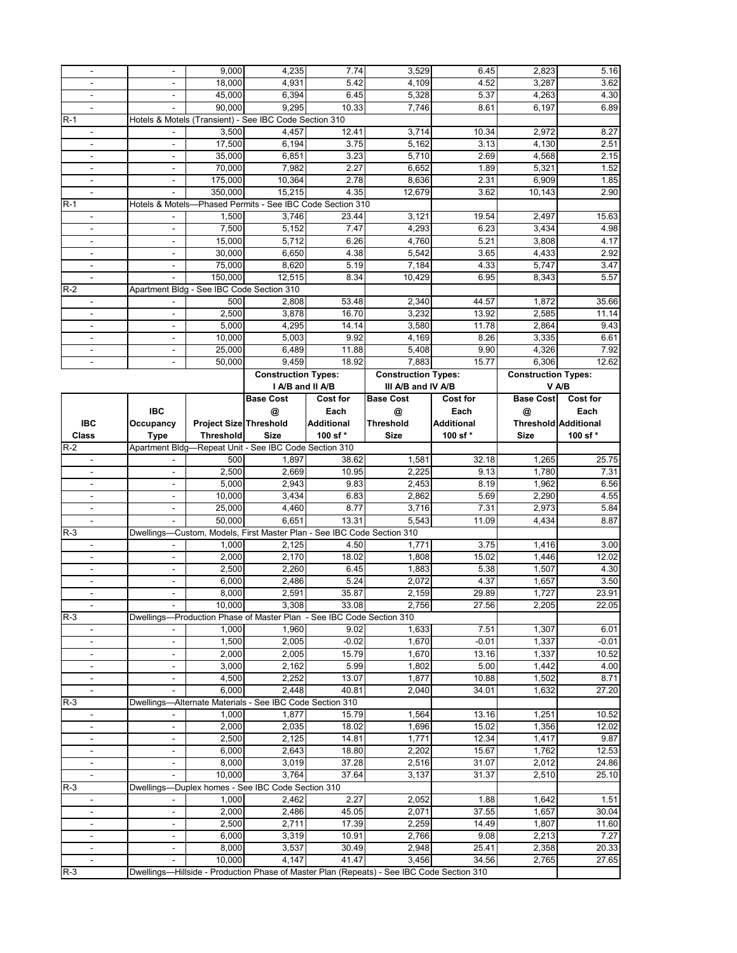|                                            |                          | 9,000                                     | 4,235                                                                  | 7.74              | 3,529                                                                                     | 6.45              | 2,823                      | 5.16                        |
|--------------------------------------------|--------------------------|-------------------------------------------|------------------------------------------------------------------------|-------------------|-------------------------------------------------------------------------------------------|-------------------|----------------------------|-----------------------------|
|                                            |                          | 18,000                                    | 4,931                                                                  | 5.42              | 4,109                                                                                     | 4.52              | 3,287                      | 3.62                        |
| $\sim$                                     | $\blacksquare$           | 45,000                                    | 6,394                                                                  | 6.45              | 5,328                                                                                     | 5.37              | 4,263                      | 4.30                        |
| $\mathbf{r}$                               |                          | 90,000                                    | 9,295                                                                  | 10.33             | 7,746                                                                                     | 8.61              | 6,197                      | 6.89                        |
| R-1                                        |                          |                                           | Hotels & Motels (Transient) - See IBC Code Section 310                 |                   |                                                                                           |                   |                            |                             |
| $\blacksquare$                             | $\overline{\phantom{a}}$ | 3,500                                     | 4,457                                                                  | 12.41             | 3,714                                                                                     | 10.34             | 2,972                      | 8.27                        |
| $\blacksquare$                             | $\overline{\phantom{a}}$ | 17,500                                    | 6,194                                                                  | 3.75              | 5,162                                                                                     | 3.13              | 4,130                      | 2.51                        |
| $\overline{\phantom{a}}$                   | $\overline{\phantom{a}}$ | 35,000                                    | 6,851                                                                  | 3.23              | 5,710                                                                                     | 2.69              | 4,568                      | 2.15                        |
| $\blacksquare$                             | $\blacksquare$           | 70,000                                    | 7,982                                                                  | 2.27              | 6,652                                                                                     | 1.89              | 5,321                      | 1.52                        |
|                                            |                          | 175,000                                   | 10,364                                                                 | 2.78              | 8,636                                                                                     | 2.31              | 6,909                      | 1.85                        |
| $\blacksquare$                             |                          | 350,000                                   | 15,215                                                                 | 4.35              | 12,679                                                                                    | 3.62              | 10.143                     | 2.90                        |
| $R-1$                                      |                          |                                           | Hotels & Motels-Phased Permits - See IBC Code Section 310              |                   |                                                                                           |                   |                            |                             |
|                                            |                          | 1,500                                     | 3,746                                                                  | 23.44             | 3,121                                                                                     | 19.54             | 2,497                      | 15.63                       |
| $\overline{\phantom{a}}$<br>$\blacksquare$ | $\blacksquare$           | 7,500                                     | 5,152                                                                  | 7.47              | 4,293                                                                                     | 6.23              | 3,434                      | 4.98                        |
| $\overline{\phantom{a}}$                   | $\blacksquare$           | 15,000                                    | 5,712                                                                  | 6.26              | 4,760                                                                                     | 5.21              | 3,808                      | 4.17                        |
|                                            |                          |                                           | 6,650                                                                  | 4.38              | 5,542                                                                                     | 3.65              |                            | 2.92                        |
| $\blacksquare$                             | $\overline{\phantom{a}}$ | 30,000                                    |                                                                        |                   | 7,184                                                                                     |                   | 4,433                      |                             |
|                                            | $\overline{\phantom{a}}$ | 75,000                                    | 8,620                                                                  | 5.19              |                                                                                           | 4.33              | 5,747                      | 3.47<br>5.57                |
| $\blacksquare$                             |                          | 150,000                                   | 12,515                                                                 | 8.34              | 10,429                                                                                    | 6.95              | 8,343                      |                             |
| $R-2$                                      |                          | Apartment Bldg - See IBC Code Section 310 |                                                                        |                   |                                                                                           |                   |                            |                             |
|                                            |                          | 500                                       | 2,808                                                                  | 53.48             | 2,340                                                                                     | 44.57             | 1,872                      | 35.66                       |
|                                            |                          | 2,500                                     | 3,878                                                                  | 16.70             | 3,232                                                                                     | 13.92             | 2,585                      | 11.14                       |
| $\overline{\phantom{a}}$                   | $\blacksquare$           | 5,000                                     | 4,295                                                                  | 14.14             | 3,580                                                                                     | 11.78             | 2,864                      | 9.43                        |
| $\overline{\phantom{a}}$                   | $\overline{\phantom{a}}$ | 10,000                                    | 5,003                                                                  | 9.92              | 4,169                                                                                     | 8.26              | 3,335                      | 6.61                        |
|                                            |                          | 25,000                                    | 6,489                                                                  | 11.88             | 5,408                                                                                     | 9.90              | 4,326                      | 7.92                        |
| $\blacksquare$                             | $\blacksquare$           | 50,000                                    | 9,459                                                                  | 18.92             | 7,883                                                                                     | 15.77             | 6,306                      | 12.62                       |
|                                            |                          |                                           | <b>Construction Types:</b>                                             |                   | <b>Construction Types:</b>                                                                |                   | <b>Construction Types:</b> |                             |
|                                            |                          |                                           | I A/B and II A/B                                                       |                   | III A/B and IV A/B                                                                        |                   |                            | V A/B                       |
|                                            |                          |                                           | <b>Base Cost</b>                                                       | <b>Cost for</b>   | <b>Base Cost</b>                                                                          | Cost for          | <b>Base Cost</b>           | <b>Cost for</b>             |
|                                            | <b>IBC</b>               |                                           | @                                                                      | Each              | @                                                                                         | Each              | @                          | Each                        |
| <b>IBC</b>                                 | Occupancy                | <b>Project Size Threshold</b>             |                                                                        | <b>Additional</b> | Threshold                                                                                 | <b>Additional</b> |                            | <b>Threshold Additional</b> |
| <b>Class</b>                               | <b>Type</b>              | <b>Threshold</b>                          | <b>Size</b>                                                            | 100 sf*           | <b>Size</b>                                                                               | 100 sf*           | <b>Size</b>                | 100 sf *                    |
| R-2                                        | Apartment Bldg-          |                                           | -Repeat Unit - See IBC Code Section 310                                |                   |                                                                                           |                   |                            |                             |
| $\blacksquare$                             |                          | 500                                       | 1,897                                                                  | 38.62             | 1,581                                                                                     | 32.18             | 1,265                      | 25.75                       |
| $\blacksquare$                             | ÷,                       | 2,500                                     | 2,669                                                                  | 10.95             | 2,225                                                                                     | 9.13              | 1,780                      | 7.31                        |
| $\overline{\phantom{a}}$                   | $\overline{\phantom{a}}$ | 5,000                                     | 2,943                                                                  | 9.83              | 2,453                                                                                     | 8.19              | 1,962                      | 6.56                        |
|                                            | $\overline{\phantom{a}}$ | 10,000                                    | 3,434                                                                  | 6.83              | 2,862                                                                                     | 5.69              | 2,290                      | 4.55                        |
| $\blacksquare$                             | $\blacksquare$           | 25,000                                    | 4,460                                                                  | 8.77              | 3,716                                                                                     | 7.31              | 2,973                      | 5.84                        |
| $\overline{\phantom{a}}$                   |                          | 50,000                                    | 6,651                                                                  | 13.31             | 5,543                                                                                     | 11.09             | 4,434                      | 8.87                        |
| $R-3$                                      |                          |                                           | Dwellings-Custom, Models, First Master Plan - See IBC Code Section 310 |                   |                                                                                           |                   |                            |                             |
|                                            |                          | 1,000                                     | 2,125                                                                  | 4.50              | 1,771                                                                                     | 3.75              | 1,416                      | 3.00                        |
| $\sim$                                     | $\overline{\phantom{a}}$ | 2.000                                     | 2,170                                                                  | 18.02             | 1,808                                                                                     | 15.02             | 1,446                      | 12.02                       |
| $\blacksquare$                             | $\overline{\phantom{a}}$ | 2,500                                     | 2,260                                                                  | 6.45              | 1,883                                                                                     | 5.38              | 1,507                      | 4.30                        |
|                                            | $\overline{\phantom{a}}$ | 6,000                                     | 2,486                                                                  | 5.24              | 2,072                                                                                     | 4.37              | 1,657                      | 3.50                        |
| $\mathbf{r}$                               | $\blacksquare$           | 8,000                                     | 2,591                                                                  | 35.87             | 2,159                                                                                     | 29.89             | 1,727                      | 23.91                       |
|                                            |                          | 10,000                                    | 3,308                                                                  | 33.08             | 2,756                                                                                     | 27.56             | 2,205                      | 22.05                       |
| $R-3$                                      |                          |                                           | Dwellings-Production Phase of Master Plan - See IBC Code Section 310   |                   |                                                                                           |                   |                            |                             |
| $\blacksquare$                             |                          | 1,000                                     | 1,960                                                                  | 9.02              | 1,633                                                                                     | 7.51              | 1,307                      | 6.01                        |
| $\blacksquare$                             | $\overline{\phantom{a}}$ | 1,500                                     | 2,005                                                                  | $-0.02$           | 1.670                                                                                     | $-0.01$           | 1,337                      | $-0.01$                     |
| $\overline{\phantom{a}}$                   | $\overline{\phantom{a}}$ | 2,000                                     | 2,005                                                                  | 15.79             | 1,670                                                                                     | 13.16             | 1,337                      | 10.52                       |
| $\blacksquare$                             | $\overline{\phantom{a}}$ | 3,000                                     | 2,162                                                                  | 5.99              | 1,802                                                                                     | 5.00              | 1,442                      | 4.00                        |
| $\blacksquare$                             | $\overline{\phantom{a}}$ | 4,500                                     | 2,252                                                                  | 13.07             | 1,877                                                                                     | 10.88             | 1,502                      | 8.71                        |
| $\blacksquare$                             |                          |                                           | 2,448                                                                  | 40.81             | 2,040                                                                                     | 34.01             | 1,632                      | 27.20                       |
| $R-3$                                      |                          | 6,000                                     |                                                                        |                   |                                                                                           |                   |                            |                             |
|                                            |                          |                                           | Dwellings-Alternate Materials - See IBC Code Section 310               |                   |                                                                                           |                   |                            |                             |
| $\overline{\phantom{a}}$                   |                          | 1,000                                     | 1,877                                                                  | 15.79             | 1,564                                                                                     | 13.16             | 1,251                      | 10.52                       |
| $\overline{\phantom{a}}$                   | $\blacksquare$           | 2,000                                     |                                                                        | 18.02             | 1,696                                                                                     | 15.02             | 1,356                      | 12.02                       |
| $\overline{\phantom{a}}$                   | $\overline{\phantom{a}}$ | 2,500                                     | 2,035<br>2,125                                                         | 14.81             | 1,771                                                                                     | 12.34             | 1,417                      | 9.87                        |
| $\overline{\phantom{a}}$                   | $\overline{\phantom{a}}$ | 6,000                                     | 2,643                                                                  | 18.80             | 2,202                                                                                     | 15.67             | 1,762                      | 12.53                       |
|                                            |                          | 8,000                                     | 3,019                                                                  | 37.28             | 2,516                                                                                     | 31.07             | 2,012                      | 24.86                       |
| $\blacksquare$                             |                          | 10,000                                    |                                                                        | 37.64             |                                                                                           | 31.37             |                            |                             |
| $R-3$                                      |                          |                                           | 3,764<br>Dwellings—Duplex homes - See IBC Code Section 310             |                   | 3,137                                                                                     |                   | 2,510                      | 25.10                       |
| $\overline{\phantom{a}}$                   |                          | 1,000                                     | 2,462                                                                  | 2.27              | 2,052                                                                                     | 1.88              | 1,642                      | 1.51                        |
| $\blacksquare$                             | $\blacksquare$           | 2,000                                     | 2,486                                                                  | 45.05             | 2,071                                                                                     | 37.55             | 1,657                      | 30.04                       |
| $\blacksquare$                             | $\overline{\phantom{a}}$ | 2,500                                     | 2,711                                                                  | 17.39             | 2,259                                                                                     | 14.49             | 1,807                      | 11.60                       |
| $\overline{\phantom{a}}$                   | $\overline{\phantom{a}}$ | 6,000                                     | 3,319                                                                  | 10.91             | 2,766                                                                                     | 9.08              |                            | 7.27                        |
|                                            |                          | 8,000                                     | 3,537                                                                  | 30.49             | 2,948                                                                                     | 25.41             | 2,213<br>2,358             | 20.33                       |
| $\blacksquare$                             |                          |                                           | 4,147                                                                  | 41.47             | 3,456                                                                                     | 34.56             |                            |                             |
| $R-3$                                      |                          | 10,000                                    |                                                                        |                   | Dwellings—Hillside - Production Phase of Master Plan (Repeats) - See IBC Code Section 310 |                   | 2,765                      | 27.65                       |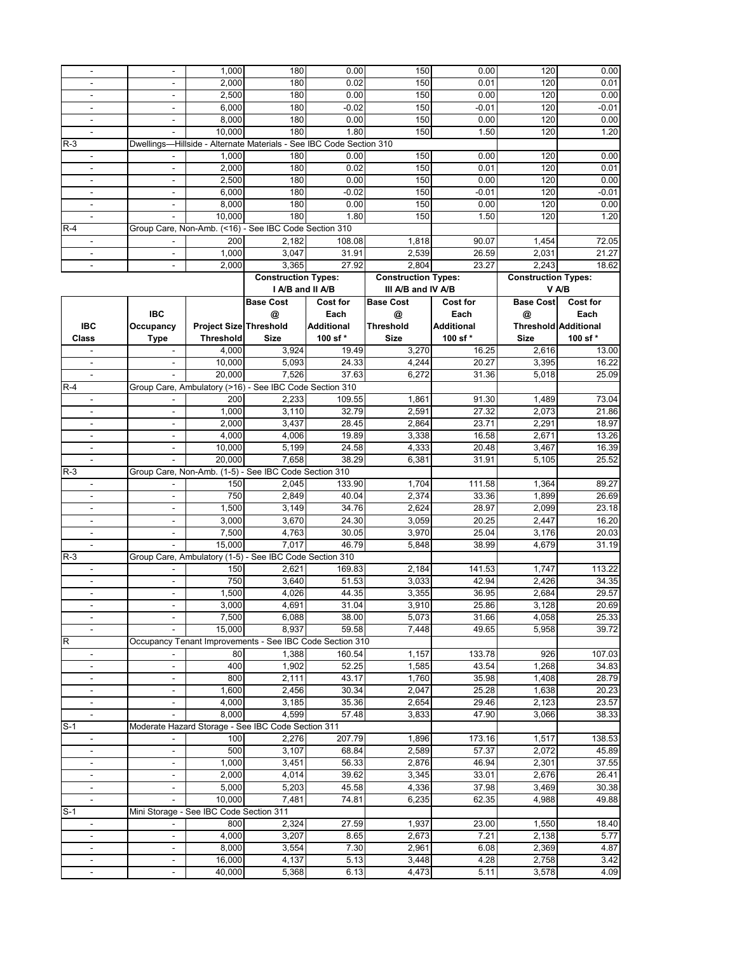|                          |                          | 1,000                                   | 180                                                                 | 0.00            | 150                        | 0.00              | 120                        | 0.00                        |
|--------------------------|--------------------------|-----------------------------------------|---------------------------------------------------------------------|-----------------|----------------------------|-------------------|----------------------------|-----------------------------|
|                          |                          | 2,000                                   | 180                                                                 | 0.02            | 150                        | 0.01              | 120                        | 0.01                        |
| $\overline{\phantom{a}}$ | $\blacksquare$           | 2,500                                   | 180                                                                 | 0.00            | 150                        | 0.00              | 120                        | 0.00                        |
|                          |                          |                                         |                                                                     |                 |                            |                   |                            |                             |
|                          | $\blacksquare$           | 6,000                                   | 180                                                                 | $-0.02$         | 150                        | $-0.01$           | 120                        | $-0.01$                     |
|                          |                          | 8,000                                   | 180                                                                 | 0.00            | 150                        | 0.00              | 120                        | 0.00                        |
|                          |                          |                                         |                                                                     |                 |                            |                   |                            |                             |
| $\blacksquare$           | $\blacksquare$           | 10,000                                  | 180                                                                 | 1.80            | 150                        | 1.50              | 120                        | 1.20                        |
| $R-3$                    |                          |                                         | Dwellings-Hillside - Alternate Materials - See IBC Code Section 310 |                 |                            |                   |                            |                             |
|                          |                          |                                         |                                                                     |                 |                            |                   |                            |                             |
|                          |                          | 1,000                                   | 180                                                                 | 0.00            | 150                        | 0.00              | 120                        | 0.00                        |
| $\overline{a}$           | ÷,                       | 2,000                                   | 180                                                                 | 0.02            | 150                        | 0.01              | 120                        | 0.01                        |
| $\blacksquare$           | $\overline{\phantom{a}}$ | 2,500                                   | 180                                                                 | 0.00            | 150                        | 0.00              | 120                        | 0.00                        |
|                          |                          |                                         |                                                                     |                 |                            |                   |                            |                             |
|                          | $\blacksquare$           | 6,000                                   | 180                                                                 | $-0.02$         | 150                        | $-0.01$           | 120                        | $-0.01$                     |
|                          | $\overline{\phantom{a}}$ | 8,000                                   | 180                                                                 | 0.00            | 150                        | 0.00              | 120                        | 0.00                        |
|                          |                          | 10,000                                  |                                                                     |                 | 150                        |                   |                            |                             |
|                          |                          |                                         | 180                                                                 | 1.80            |                            | 1.50              | 120                        | 1.20                        |
| $R-4$                    |                          |                                         | Group Care, Non-Amb. (<16) - See IBC Code Section 310               |                 |                            |                   |                            |                             |
| $\blacksquare$           |                          | 200                                     | 2,182                                                               | 108.08          | 1,818                      | 90.07             | 1,454                      | 72.05                       |
|                          |                          |                                         |                                                                     |                 |                            |                   |                            |                             |
|                          |                          | 1,000                                   | 3,047                                                               | 31.91           | 2,539                      | 26.59             | 2,031                      | 21.27                       |
| $\blacksquare$           | $\blacksquare$           | 2,000                                   | 3,365                                                               | 27.92           | 2,804                      | 23.27             | 2,243                      | 18.62                       |
|                          |                          |                                         | <b>Construction Types:</b>                                          |                 | <b>Construction Types:</b> |                   | <b>Construction Types:</b> |                             |
|                          |                          |                                         |                                                                     |                 |                            |                   |                            |                             |
|                          |                          |                                         | I A/B and II A/B                                                    |                 | III A/B and IV A/B         |                   |                            | V A/B                       |
|                          |                          |                                         | <b>Base Cost</b>                                                    | <b>Cost for</b> | <b>Base Cost</b>           | Cost for          | <b>Base Cost</b>           | Cost for                    |
|                          |                          |                                         |                                                                     |                 |                            |                   |                            |                             |
|                          | <b>IBC</b>               |                                         | @                                                                   | Each            | @                          | Each              | @                          | Each                        |
| <b>IBC</b>               | Occupancy                | <b>Project Size Threshold</b>           |                                                                     | Additional      | Threshold                  | <b>Additional</b> |                            | <b>Threshold Additional</b> |
| <b>Class</b>             |                          | <b>Threshold</b>                        | Size                                                                | 100 sf*         | <b>Size</b>                | 100 sf*           | <b>Size</b>                | 100 sf*                     |
|                          | <b>Type</b>              |                                         |                                                                     |                 |                            |                   |                            |                             |
|                          |                          | 4,000                                   | 3,924                                                               | 19.49           | 3,270                      | 16.25             | 2,616                      | 13.00                       |
| $\blacksquare$           | $\blacksquare$           | 10,000                                  | 5,093                                                               | 24.33           | 4,244                      | 20.27             | 3,395                      | 16.22                       |
|                          |                          |                                         |                                                                     |                 |                            |                   |                            |                             |
| $\blacksquare$           |                          | 20,000                                  | 7,526                                                               | 37.63           | 6,272                      | 31.36             | 5,018                      | 25.09                       |
| $R-4$                    |                          |                                         | Group Care, Ambulatory (>16) - See IBC Code Section 310             |                 |                            |                   |                            |                             |
| $\overline{\phantom{a}}$ |                          | 200                                     | 2.233                                                               | 109.55          | 1,861                      | 91.30             | 1,489                      | 73.04                       |
|                          |                          |                                         |                                                                     |                 |                            |                   |                            |                             |
| $\blacksquare$           | $\overline{\phantom{a}}$ | 1,000                                   | 3,110                                                               | 32.79           | 2,591                      | 27.32             | 2,073                      | 21.86                       |
| $\overline{\phantom{a}}$ | $\overline{\phantom{a}}$ | 2,000                                   | 3,437                                                               | 28.45           | 2,864                      | 23.71             | 2,291                      | 18.97                       |
|                          |                          |                                         |                                                                     |                 |                            |                   |                            |                             |
|                          | $\overline{\phantom{a}}$ | 4,000                                   | 4,006                                                               | 19.89           | 3,338                      | 16.58             | 2,671                      | 13.26                       |
|                          | $\overline{\phantom{m}}$ | 10,000                                  | 5,199                                                               | 24.58           | 4,333                      | 20.48             | 3,467                      | 16.39                       |
| $\blacksquare$           |                          | 20,000                                  | 7,658                                                               | 38.29           | 6,381                      | 31.91             | 5,105                      | 25.52                       |
|                          |                          |                                         |                                                                     |                 |                            |                   |                            |                             |
| $R-3$                    |                          |                                         | Group Care, Non-Amb. (1-5) - See IBC Code Section 310               |                 |                            |                   |                            |                             |
| $\overline{\phantom{a}}$ |                          | 150                                     | 2,045                                                               | 133.90          | 1,704                      | 111.58            | 1,364                      | 89.27                       |
|                          |                          | 750                                     |                                                                     |                 |                            |                   |                            |                             |
| $\overline{a}$           |                          |                                         | 2,849                                                               | 40.04           | 2,374                      | 33.36             | 1,899                      | 26.69                       |
| $\blacksquare$           | $\blacksquare$           | 1,500                                   | 3,149                                                               | 34.76           | 2,624                      | 28.97             | 2,099                      | 23.18                       |
| $\blacksquare$           | $\overline{\phantom{a}}$ | 3,000                                   | 3,670                                                               | 24.30           | 3,059                      | 20.25             | 2,447                      | 16.20                       |
|                          |                          |                                         |                                                                     |                 |                            |                   |                            |                             |
| $\overline{\phantom{a}}$ | $\overline{\phantom{a}}$ | 7,500                                   | 4,763                                                               | 30.05           | 3,970                      | 25.04             | 3,176                      | 20.03                       |
| $\overline{a}$           |                          | 15,000                                  | 7,017                                                               | 46.79           | 5,848                      | 38.99             | 4,679                      | 31.19                       |
|                          |                          |                                         |                                                                     |                 |                            |                   |                            |                             |
| $R-3$                    |                          |                                         | Group Care, Ambulatory (1-5) - See IBC Code Section 310             |                 |                            |                   |                            |                             |
|                          |                          | 150                                     | 2,621                                                               | 169.83          | 2,184                      | 141.53            | 1,747                      | 113.22                      |
|                          |                          | 750                                     | 3.640                                                               | 51.53           | 3,033                      | 42.94             | 2,426                      | 34.35                       |
|                          |                          |                                         |                                                                     |                 |                            |                   |                            |                             |
| $\mathbf{r}$             | $\blacksquare$           | 1,500                                   | 4,026                                                               | 44.35           | 3,355                      | 36.95             | 2,684                      | 29.57                       |
|                          |                          | 3,000                                   | 4,691                                                               | 31.04           | 3,910                      | 25.86             | 3,128                      | 20.69                       |
|                          |                          |                                         |                                                                     |                 |                            |                   |                            |                             |
|                          |                          | 7,500                                   | 6,088                                                               | 38.00           | 5,073                      | 31.66             | 4,058                      | 25.33                       |
| $\blacksquare$           | $\overline{\phantom{a}}$ | 15,000                                  | 8,937                                                               | 59.58           | 7,448                      | 49.65             | 5,958                      | 39.72                       |
| $\mathsf R$              |                          |                                         | Occupancy Tenant Improvements - See IBC Code Section 310            |                 |                            |                   |                            |                             |
|                          |                          |                                         |                                                                     |                 |                            |                   |                            |                             |
|                          |                          | 80                                      | 1,388                                                               | 160.54          | 1,157                      | 133.78            | 926                        | 107.03                      |
| $\Box$                   | $\blacksquare$           | 400                                     | 1,902                                                               | 52.25           | 1,585                      | 43.54             | 1,268                      | 34.83                       |
| $\overline{\phantom{a}}$ | $\blacksquare$           | 800                                     | 2,111                                                               | 43.17           | 1,760                      | 35.98             | 1,408                      | 28.79                       |
|                          |                          |                                         |                                                                     |                 |                            |                   |                            |                             |
| $\overline{\phantom{a}}$ | $\overline{\phantom{a}}$ | 1,600                                   | 2,456                                                               | 30.34           | 2,047                      | 25.28             | 1,638                      | 20.23                       |
| $\overline{\phantom{a}}$ | $\overline{\phantom{a}}$ | 4,000                                   | 3,185                                                               | 35.36           | 2,654                      | 29.46             | 2,123                      | 23.57                       |
|                          |                          |                                         |                                                                     |                 |                            |                   |                            |                             |
| $\blacksquare$           | $\overline{\phantom{a}}$ | 8,000                                   | 4,599                                                               | 57.48           | 3,833                      | 47.90             | 3,066                      | 38.33                       |
| $S-1$                    |                          |                                         | Moderate Hazard Storage - See IBC Code Section 311                  |                 |                            |                   |                            |                             |
| $\blacksquare$           |                          | 100                                     | 2,276                                                               | 207.79          | 1,896                      | 173.16            | 1,517                      | 138.53                      |
|                          |                          |                                         |                                                                     |                 |                            |                   |                            |                             |
| $\overline{\phantom{a}}$ | $\overline{\phantom{a}}$ | 500                                     | 3,107                                                               | 68.84           | 2,589                      | 57.37             | 2,072                      | 45.89                       |
| $\overline{\phantom{a}}$ | $\overline{\phantom{a}}$ | 1,000                                   | 3,451                                                               | 56.33           | 2,876                      | 46.94             | 2,301                      | 37.55                       |
|                          |                          |                                         | 4,014                                                               |                 |                            |                   | 2,676                      | 26.41                       |
| $\blacksquare$           | $\overline{\phantom{m}}$ | 2,000                                   |                                                                     | 39.62           | 3,345                      | 33.01             |                            |                             |
| $\overline{\phantom{a}}$ | $\overline{\phantom{a}}$ | 5,000                                   | 5,203                                                               | 45.58           | 4,336                      | 37.98             | 3,469                      | 30.38                       |
| $\overline{\phantom{a}}$ |                          | 10,000                                  | 7,481                                                               | 74.81           | 6,235                      | 62.35             | 4,988                      | 49.88                       |
|                          |                          |                                         |                                                                     |                 |                            |                   |                            |                             |
| $S-1$                    |                          | Mini Storage - See IBC Code Section 311 |                                                                     |                 |                            |                   |                            |                             |
| $\overline{\phantom{a}}$ |                          | 800                                     | 2,324                                                               | 27.59           | 1,937                      | 23.00             | 1,550                      | 18.40                       |
|                          |                          |                                         |                                                                     |                 |                            |                   |                            |                             |
|                          |                          |                                         |                                                                     |                 |                            |                   |                            |                             |
| $\overline{\phantom{a}}$ | $\overline{\phantom{a}}$ | 4,000                                   | 3,207                                                               | 8.65            | 2,673                      | 7.21              | 2,138                      | 5.77                        |
| $\blacksquare$           | $\frac{1}{2}$            | 8,000                                   | 3,554                                                               | 7.30            | 2,961                      | 6.08              | 2,369                      | 4.87                        |
| $\blacksquare$           | $\blacksquare$           | 16,000                                  |                                                                     |                 | 3,448                      | 4.28              |                            | 3.42                        |
| $\overline{\phantom{a}}$ | $\overline{\phantom{a}}$ | 40,000                                  | 4,137<br>5,368                                                      | 5.13<br>6.13    | 4,473                      | 5.11              | 2,758<br>3,578             | 4.09                        |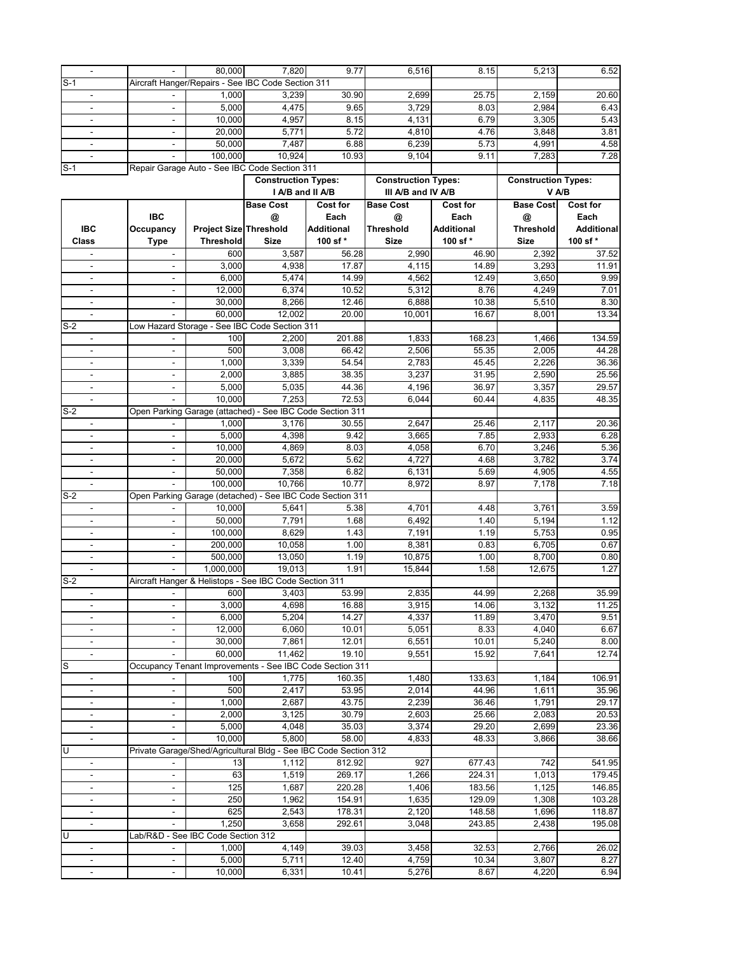|                              |                              | 80.000                             | 7,820                                                            | 9.77       | 6,516                      | 8.15              | 5,213                      | 6.52              |
|------------------------------|------------------------------|------------------------------------|------------------------------------------------------------------|------------|----------------------------|-------------------|----------------------------|-------------------|
| $S-1$                        |                              |                                    | Aircraft Hanger/Repairs - See IBC Code Section 311               |            |                            |                   |                            |                   |
| $\blacksquare$               |                              | 1,000                              | 3,239                                                            | 30.90      | 2,699                      | 25.75             | 2,159                      | 20.60             |
|                              |                              | 5.000                              | 4,475                                                            | 9.65       | 3,729                      | 8.03              | 2,984                      | 6.43              |
|                              |                              | 10,000                             | 4,957                                                            | 8.15       | 4,131                      | 6.79              | 3,305                      | 5.43              |
| $\blacksquare$               | $\sim$                       | 20,000                             | 5,771                                                            | 5.72       | 4,810                      | 4.76              | 3,848                      | 3.81              |
|                              | $\blacksquare$               | 50,000                             | 7,487                                                            | 6.88       | 6,239                      | 5.73              | 4,991                      | 4.58              |
|                              |                              | 100,000                            | 10,924                                                           | 10.93      | 9,104                      | 9.11              | 7,283                      | 7.28              |
| $S-1$                        |                              |                                    | Repair Garage Auto - See IBC Code Section 311                    |            |                            |                   |                            |                   |
|                              |                              |                                    | <b>Construction Types:</b>                                       |            | <b>Construction Types:</b> |                   | <b>Construction Types:</b> |                   |
|                              |                              |                                    | I A/B and II A/B                                                 |            | III A/B and IV A/B         |                   |                            | V A/B             |
|                              |                              |                                    | <b>Base Cost</b>                                                 | Cost for   | <b>Base Cost</b>           | <b>Cost for</b>   | <b>Base Cost</b>           | <b>Cost for</b>   |
|                              | <b>IBC</b>                   |                                    | @                                                                | Each       | @                          | Each              | @                          | Each              |
| IBC                          | Occupancy                    | <b>Project Size Threshold</b>      |                                                                  | Additional | <b>Threshold</b>           | <b>Additional</b> | <b>Threshold</b>           | <b>Additional</b> |
| Class                        | <b>Type</b>                  | <b>Threshold</b>                   | <b>Size</b>                                                      | 100 sf*    | <b>Size</b>                | 100 sf*           | <b>Size</b>                | 100 sf*           |
| $\overline{\phantom{a}}$     | ۰                            | 600                                | 3,587                                                            | 56.28      | 2,990                      | 46.90             | 2,392                      | 37.52             |
|                              |                              | 3,000                              | 4,938                                                            | 17.87      | 4,115                      | 14.89             | 3,293                      | 11.91             |
|                              |                              | 6,000                              | 5,474                                                            | 14.99      | 4,562                      | 12.49             | 3,650                      | 9.99              |
| $\overline{\phantom{a}}$     | $\blacksquare$               | 12,000                             | 6,374                                                            | 10.52      | 5,312                      | 8.76              | 4,249                      | 7.01              |
|                              | ٠                            | 30,000                             | 8,266                                                            | 12.46      | 6,888                      | 10.38             | 5,510                      | 8.30              |
|                              |                              | 60,000                             | 12,002                                                           | 20.00      | 10,001                     | 16.67             | 8,001                      | 13.34             |
| $S-2$                        |                              |                                    | Low Hazard Storage - See IBC Code Section 311                    |            |                            |                   |                            |                   |
| $\blacksquare$               |                              | 100                                | 2,200                                                            | 201.88     | 1,833                      | 168.23            | 1,466                      | 134.59            |
|                              |                              | 500                                | 3,008                                                            | 66.42      | 2,506                      | 55.35             | 2,005                      | 44.28             |
| $\overline{\phantom{a}}$     | $\blacksquare$               | 1,000                              | 3,339                                                            | 54.54      | 2,783                      | 45.45             | 2,226                      | 36.36             |
| $\mathbf{r}$                 | $\overline{\phantom{a}}$     | 2,000                              | 3,885                                                            | 38.35      | 3,237                      | 31.95             | 2,590                      | 25.56             |
| $\blacksquare$               |                              | 5,000                              | 5,035                                                            | 44.36      | 4,196                      | 36.97             | 3,357                      | 29.57             |
| $\blacksquare$               | ٠                            | 10,000                             | 7,253                                                            | 72.53      | 6,044                      | 60.44             | 4,835                      | 48.35             |
| $S-2$                        |                              |                                    | Open Parking Garage (attached) - See IBC Code Section 311        |            |                            |                   |                            |                   |
| $\overline{\phantom{a}}$     |                              | 1,000                              | 3,176                                                            | 30.55      | 2,647                      | 25.46             | 2,117                      | 20.36             |
|                              | $\overline{\phantom{a}}$     | 5,000                              | 4,398                                                            | 9.42       | 3,665                      | 7.85              | 2,933                      | 6.28              |
| $\blacksquare$               | $\blacksquare$               | 10,000                             | 4,869                                                            | 8.03       | 4,058                      | 6.70              | 3,246                      | 5.36              |
| $\blacksquare$               | $\blacksquare$               | 20,000                             | 5,672                                                            | 5.62       | 4,727                      | 4.68              | 3,782                      | 3.74              |
| $\blacksquare$               | ÷.                           | 50,000                             | 7,358                                                            | 6.82       | 6,131                      | 5.69              | 4,905                      | 4.55              |
|                              |                              | 100,000                            | 10,766                                                           | 10.77      | 8,972                      | 8.97              | 7,178                      | 7.18              |
| $S-2$                        |                              |                                    | Open Parking Garage (detached) - See IBC Code Section 311        |            |                            |                   |                            |                   |
|                              |                              | 10,000                             | 5,641                                                            | 5.38       | 4,701                      | 4.48              | 3,761                      | 3.59              |
| $\blacksquare$               | $\overline{\phantom{a}}$     | 50,000                             | 7,791                                                            | 1.68       | 6,492                      | 1.40              | 5,194                      | 1.12              |
|                              | $\overline{\phantom{m}}$     | 100,000                            | 8,629                                                            | 1.43       | 7,191                      | 1.19              | 5,753                      | 0.95              |
| $\overline{a}$               | ÷.                           | 200,000                            | 10,058                                                           | 1.00       | 8,381                      | 0.83              | 6,705                      | 0.67              |
| $\blacksquare$               | $\blacksquare$               | 500,000                            | 13,050                                                           | 1.19       | 10,875                     | 1.00              | 8,700                      | 0.80              |
|                              |                              | 1,000,000                          | 19,013                                                           | 1.91       | 15,844                     | 1.58              | 12,675                     | 1.27              |
| $S-2$                        |                              |                                    | Aircraft Hanger & Helistops - See IBC Code Section 311           |            |                            |                   |                            |                   |
| $\blacksquare$               | $\overline{\phantom{a}}$     | 600                                | 3,403                                                            | 53.99      | 2,835                      | 44.99             | 2,268                      | 35.99             |
|                              |                              | 3,000                              | 4,698                                                            | 16.88      | 3,915                      | 14.06             | 3,132                      | 11.25             |
|                              |                              | 6,000                              | 5,204                                                            | 14.27      | 4,337                      | 11.89             | 3,470                      | 9.51              |
| $\blacksquare$               | $\overline{\phantom{a}}$     | 12,000                             | 6,060                                                            | 10.01      | 5,051                      | 8.33              | 4,040                      | 6.67              |
| $\overline{\phantom{a}}$     | $\overline{\phantom{a}}$     | 30,000                             | 7,861                                                            | 12.01      | 6,551                      | 10.01             | 5,240                      | 8.00              |
| $\qquad \qquad \blacksquare$ |                              | 60,000                             | 11,462                                                           | 19.10      | 9,551                      | 15.92             | 7,641                      | 12.74             |
| lS                           |                              |                                    | Occupancy Tenant Improvements - See IBC Code Section 311         |            |                            |                   |                            |                   |
| $\overline{\phantom{a}}$     |                              | 100                                | 1,775                                                            | 160.35     | 1,480                      | 133.63            | 1,184                      | 106.91            |
| $\blacksquare$               |                              | 500                                | 2,417                                                            | 53.95      | 2,014                      | 44.96             | 1,611                      | 35.96             |
| $\overline{\phantom{a}}$     | $\overline{\phantom{0}}$     | 1,000                              | 2,687                                                            | 43.75      | 2,239                      | 36.46             | 1,791                      | 29.17             |
| $\overline{\phantom{a}}$     | $\overline{\phantom{0}}$     | 2,000                              | 3,125                                                            | 30.79      | 2,603                      | 25.66             | 2,083                      | 20.53             |
| $\overline{\phantom{a}}$     | $\qquad \qquad \blacksquare$ | 5,000                              | 4,048                                                            | 35.03      | 3,374                      | 29.20             | 2,699                      | 23.36             |
| $\overline{\phantom{a}}$     |                              | 10,000                             | 5,800                                                            | 58.00      | 4,833                      | 48.33             | 3,866                      | 38.66             |
| IJ                           |                              |                                    | Private Garage/Shed/Agricultural Bldg - See IBC Code Section 312 |            |                            |                   |                            |                   |
| $\blacksquare$               |                              | 13                                 | 1,112                                                            | 812.92     | 927                        | 677.43            | 742                        | 541.95            |
| $\overline{\phantom{a}}$     | ÷,                           | 63                                 | 1,519                                                            | 269.17     | 1,266                      | 224.31            | 1,013                      | 179.45            |
| $\overline{\phantom{a}}$     | $\overline{\phantom{a}}$     | 125                                | 1,687                                                            | 220.28     | 1,406                      | 183.56            | 1,125                      | 146.85            |
| $\overline{\phantom{a}}$     | $\overline{\phantom{m}}$     | 250                                | 1,962                                                            | 154.91     | 1,635                      | 129.09            | 1,308                      | 103.28            |
| $\blacksquare$               | $\overline{\phantom{a}}$     | 625                                | 2,543                                                            | 178.31     | 2,120                      | 148.58            | 1,696                      | 118.87            |
| $\blacksquare$               |                              | 1,250                              | 3,658                                                            | 292.61     | 3,048                      | 243.85            | 2,438                      | 195.08            |
| IJ                           |                              | Lab/R&D - See IBC Code Section 312 |                                                                  |            |                            |                   |                            |                   |
| $\blacksquare$               |                              | 1,000                              | 4,149                                                            | 39.03      | 3,458                      | 32.53             | 2,766                      | 26.02             |
| $\blacksquare$               | $\blacksquare$               | 5,000                              | 5,711                                                            | 12.40      | 4,759                      | 10.34             | 3,807                      | 8.27              |
| $\blacksquare$               | $\frac{1}{2}$                | 10,000                             | 6,331                                                            | 10.41      | 5,276                      | 8.67              | 4,220                      | 6.94              |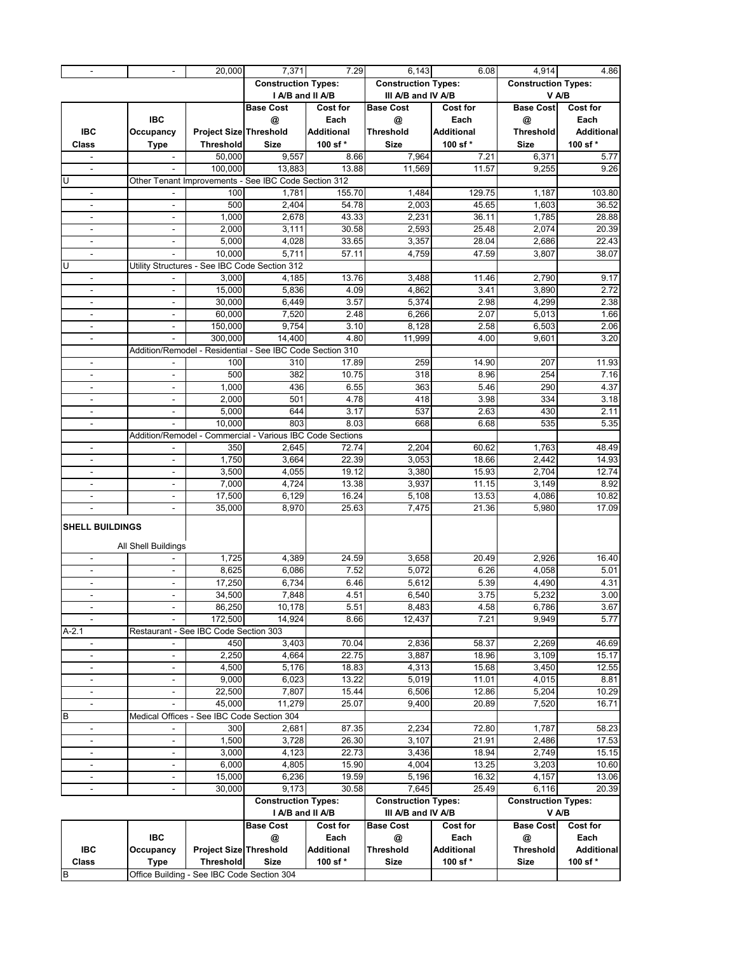| $\blacksquare$               |                                            | 20,000                                     | 7,371                                                     | 7.29              | 6,143                      | 6.08              | 4,914                      | 4.86               |
|------------------------------|--------------------------------------------|--------------------------------------------|-----------------------------------------------------------|-------------------|----------------------------|-------------------|----------------------------|--------------------|
|                              |                                            |                                            | <b>Construction Types:</b>                                |                   | <b>Construction Types:</b> |                   | <b>Construction Types:</b> |                    |
|                              |                                            |                                            | I A/B and II A/B                                          |                   | III A/B and IV A/B         |                   | V A/B                      |                    |
|                              |                                            |                                            | <b>Base Cost</b>                                          | <b>Cost for</b>   | <b>Base Cost</b>           | <b>Cost for</b>   | <b>Base Cost</b>           | Cost for           |
|                              | <b>IBC</b>                                 |                                            | @                                                         | Each              | @                          | Each              | @                          | Each               |
| <b>IBC</b>                   | Occupancy                                  | <b>Project Size Threshold</b>              |                                                           | <b>Additional</b> | <b>Threshold</b>           | <b>Additional</b> | Threshold                  | <b>Additional</b>  |
| Class                        | <b>Type</b>                                | <b>Threshold</b>                           | <b>Size</b>                                               | 100 sf*           | <b>Size</b>                | 100 sf*           | <b>Size</b>                | 100 sf *           |
|                              |                                            | 50,000                                     | 9,557                                                     | 8.66              | 7,964                      | 7.21              | 6,371                      | 5.77               |
| $\blacksquare$               | $\overline{a}$                             | 100,000                                    | 13,883                                                    | 13.88             | 11,569                     | 11.57             | 9,255                      | 9.26               |
| U                            |                                            |                                            | Other Tenant Improvements - See IBC Code Section 312      |                   |                            |                   |                            |                    |
| $\blacksquare$               |                                            | 100                                        | 1,781                                                     | 155.70            | 1,484                      | 129.75            | 1,187                      | 103.80             |
| $\overline{\phantom{a}}$     | $\blacksquare$                             | 500                                        | 2,404                                                     | 54.78             | 2,003                      | 45.65             | 1,603                      | 36.52              |
| $\overline{\phantom{a}}$     | $\blacksquare$                             | 1,000                                      | 2,678                                                     | 43.33             | 2,231                      | 36.11             | 1,785                      | 28.88              |
| $\overline{\phantom{a}}$     | $\overline{\phantom{a}}$                   | 2,000                                      | 3,111                                                     | 30.58             | 2,593                      | 25.48             | 2,074                      | 20.39              |
| $\blacksquare$               | $\overline{\phantom{a}}$                   | 5,000                                      | 4,028                                                     | 33.65             | 3,357                      | 28.04             | 2,686                      | 22.43              |
| $\blacksquare$               |                                            | 10,000                                     | 5,711                                                     | 57.11             | 4,759                      | 47.59             | 3,807                      | 38.07              |
| U                            |                                            |                                            | Utility Structures - See IBC Code Section 312             |                   |                            |                   |                            |                    |
| $\blacksquare$               |                                            | 3,000                                      | 4,185                                                     | 13.76             | 3,488                      | 11.46             | 2,790                      | 9.17               |
| $\blacksquare$               | $\overline{a}$                             | 15,000                                     | 5,836                                                     | 4.09              | 4,862                      | 3.41              | 3,890                      | 2.72               |
| $\blacksquare$               | $\blacksquare$                             | 30,000                                     | 6,449                                                     | 3.57              | 5,374                      | 2.98              | 4,299                      | 2.38               |
| $\blacksquare$               | $\blacksquare$                             | 60,000                                     | 7,520                                                     | 2.48              | 6,266                      | 2.07              | 5,013                      | 1.66               |
| $\overline{\phantom{a}}$     | $\overline{\phantom{a}}$                   | 150,000                                    | 9,754                                                     | 3.10              | 8,128                      | 2.58              | 6,503                      | 2.06               |
| $\blacksquare$               |                                            | 300,000                                    | 14,400                                                    | 4.80              | 11,999                     | 4.00              | 9,601                      | 3.20               |
|                              |                                            |                                            | Addition/Remodel - Residential - See IBC Code Section 310 |                   |                            |                   |                            |                    |
| $\overline{\phantom{a}}$     |                                            | 100                                        | 310                                                       | 17.89             | 259                        | 14.90             | 207                        | 11.93              |
| $\qquad \qquad \blacksquare$ | $\overline{\phantom{a}}$                   | 500                                        | 382                                                       | 10.75             | 318                        | 8.96              | 254                        | 7.16               |
| $\blacksquare$               | ÷,                                         | 1,000                                      | 436                                                       | 6.55              | 363                        | 5.46              | 290                        | 4.37               |
| $\blacksquare$               | $\overline{\phantom{a}}$                   | 2,000                                      | 501                                                       | 4.78              | 418                        | 3.98              | 334                        | 3.18               |
| $\blacksquare$               | $\blacksquare$                             | 5,000                                      | 644                                                       | 3.17              | 537                        | 2.63              | 430                        | 2.11               |
| $\overline{\phantom{a}}$     |                                            | 10,000                                     | 803                                                       | 8.03              | 668                        | 6.68              | 535                        | 5.35               |
|                              |                                            |                                            | Addition/Remodel - Commercial - Various IBC Code Sections |                   |                            |                   |                            |                    |
| $\blacksquare$               |                                            | 350                                        | 2,645                                                     | 72.74             | 2,204                      | 60.62             | 1,763                      | 48.49              |
| $\overline{\phantom{a}}$     |                                            | 1,750                                      | 3,664                                                     | 22.39             | 3,053                      | 18.66             | 2,442                      | 14.93              |
| $\overline{\phantom{a}}$     | $\blacksquare$                             | 3,500                                      | 4,055                                                     | 19.12             | 3,380                      | 15.93             | 2,704                      | 12.74              |
| $\blacksquare$               | $\blacksquare$                             | 7,000                                      | 4,724                                                     | 13.38             | 3,937                      | 11.15             | 3,149                      | 8.92               |
| $\overline{\phantom{a}}$     | $\overline{\phantom{a}}$                   | 17,500                                     | 6,129                                                     | 16.24             | 5,108                      | 13.53             | 4,086                      | 10.82              |
| $\overline{\phantom{a}}$     | $\blacksquare$                             | 35,000                                     | 8,970                                                     | 25.63             | 7,475                      | 21.36             | 5,980                      | 17.09              |
| <b>SHELL BUILDINGS</b>       |                                            |                                            |                                                           |                   |                            |                   |                            |                    |
|                              |                                            |                                            |                                                           |                   |                            |                   |                            |                    |
|                              | All Shell Buildings                        |                                            |                                                           |                   |                            |                   |                            |                    |
| $\blacksquare$               |                                            | 1,725                                      | 4,389                                                     | 24.59             | 3,658                      | 20.49             | 2,926                      | 16.40              |
| $\blacksquare$               | $\overline{\phantom{a}}$                   | 8,625                                      | 6,086                                                     | 7.52              | 5,072                      | 6.26              | 4,058                      | 5.01               |
| $\overline{\phantom{a}}$     | $\overline{\phantom{a}}$                   | 17,250                                     | 6,734                                                     | 6.46              | 5,612                      | 5.39              | 4,490                      | 4.31               |
| $\overline{\phantom{a}}$     | $\frac{1}{2}$                              | 34,500                                     | 7,848                                                     | 4.51              | 6,540                      | 3.75              | 5,232                      | 3.00               |
| $\overline{\phantom{a}}$     | $\overline{\phantom{a}}$                   | 86,250                                     | 10,178                                                    | 5.51              | 8,483                      | 4.58              | 6,786                      | 3.67               |
| $\overline{\phantom{a}}$     |                                            | 172,500                                    | 14,924                                                    | 8.66              | 12,437                     | 7.21              | 9,949                      | 5.77               |
| $A-2.1$                      | Restaurant - See IBC Code Section 303      |                                            |                                                           |                   |                            |                   |                            |                    |
| $\overline{\phantom{a}}$     |                                            | 450                                        | 3,403                                                     | 70.04             | 2,836                      | 58.37             | 2,269                      | 46.69              |
| $\blacksquare$               | $\overline{\phantom{a}}$                   | 2,250                                      | 4,664                                                     | 22.75             | 3,887                      | 18.96             | 3,109                      | 15.17              |
| $\overline{\phantom{a}}$     | $\blacksquare$                             | 4,500                                      | 5,176                                                     | 18.83             | 4,313                      | 15.68             | 3,450                      | 12.55              |
| $\overline{\phantom{a}}$     | $\overline{\phantom{a}}$                   | 9,000                                      | 6,023                                                     | 13.22             | 5,019                      | 11.01             | 4,015                      | 8.81               |
| $\blacksquare$               | $\blacksquare$                             | 22,500                                     | 7,807                                                     | 15.44             | 6,506                      | 12.86             | 5,204                      | $\overline{10.29}$ |
| $\overline{\phantom{a}}$     |                                            | 45,000                                     | 11,279                                                    | 25.07             | 9,400                      | 20.89             | 7,520                      | 16.71              |
| B                            | Medical Offices - See IBC Code Section 304 |                                            |                                                           |                   |                            |                   |                            |                    |
| $\blacksquare$               |                                            | 300                                        | 2,681                                                     | 87.35             | 2,234                      | 72.80             | 1,787                      | 58.23              |
| $\blacksquare$               | $\blacksquare$                             | 1,500                                      | 3,728                                                     | 26.30             | 3,107                      | 21.91             | 2,486                      | 17.53              |
| $\overline{\phantom{a}}$     | $\overline{\phantom{a}}$                   | 3,000                                      | 4,123                                                     | 22.73             | 3,436                      | 18.94             | 2,749                      | 15.15              |
| $\overline{\phantom{a}}$     | $\overline{\phantom{a}}$                   | 6,000                                      | 4,805                                                     | 15.90             | 4,004                      | 13.25             | 3,203                      | 10.60              |
| $\blacksquare$               | $\blacksquare$                             | 15,000                                     | 6,236                                                     | 19.59             | 5,196                      | 16.32             | 4,157                      | 13.06              |
| $\blacksquare$               | $\overline{\phantom{a}}$                   | 30,000                                     | 9,173                                                     | 30.58             | 7,645                      | 25.49             | 6,116                      | 20.39              |
|                              |                                            |                                            | <b>Construction Types:</b>                                |                   | <b>Construction Types:</b> |                   | <b>Construction Types:</b> |                    |
|                              |                                            |                                            | I A/B and II A/B                                          |                   | III A/B and IV A/B         |                   | V A/B                      |                    |
|                              |                                            |                                            | <b>Base Cost</b>                                          | <b>Cost for</b>   | <b>Base Cost</b>           | Cost for          | <b>Base Cost</b>           | <b>Cost for</b>    |
|                              | IBC                                        |                                            | @                                                         | Each              | @                          | Each              | @                          | Each               |
| <b>IBC</b>                   | Occupancy                                  | <b>Project Size Threshold</b>              |                                                           | Additional        | Threshold                  | <b>Additional</b> | Threshold                  | <b>Additional</b>  |
| Class                        | <b>Type</b>                                | <b>Threshold</b>                           | <b>Size</b>                                               | 100 sf*           | <b>Size</b>                | 100 sf*           | Size                       | 100 sf*            |
| B                            |                                            | Office Building - See IBC Code Section 304 |                                                           |                   |                            |                   |                            |                    |
|                              |                                            |                                            |                                                           |                   |                            |                   |                            |                    |